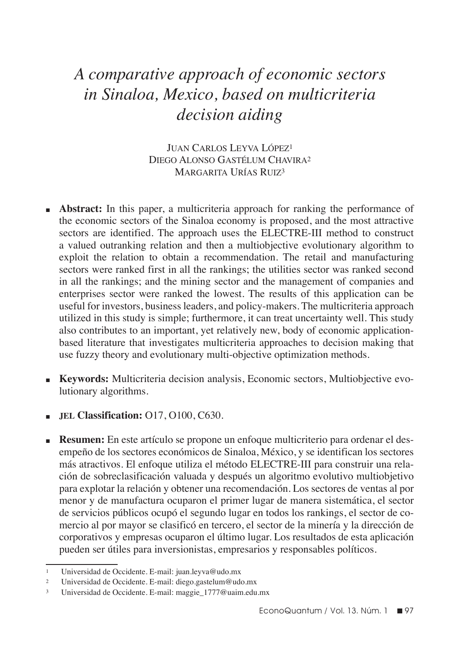# *A comparative approach of economic sectors in Sinaloa, Mexico, based on multicriteria decision aiding*

Juan Carlos Leyva López1 Diego Alonso Gastélum Chavira2 Margarita Urías Ruiz3

- **Abstract:** In this paper, a multicriteria approach for ranking the performance of the economic sectors of the Sinaloa economy is proposed, and the most attractive sectors are identified. The approach uses the ELECTRE-III method to construct a valued outranking relation and then a multiobjective evolutionary algorithm to exploit the relation to obtain a recommendation. The retail and manufacturing sectors were ranked first in all the rankings; the utilities sector was ranked second in all the rankings; and the mining sector and the management of companies and enterprises sector were ranked the lowest. The results of this application can be useful for investors, business leaders, and policy-makers. The multicriteria approach utilized in this study is simple; furthermore, it can treat uncertainty well. This study also contributes to an important, yet relatively new, body of economic applicationbased literature that investigates multicriteria approaches to decision making that use fuzzy theory and evolutionary multi-objective optimization methods.
- n **Keywords:** Multicriteria decision analysis, Economic sectors, Multiobjective evolutionary algorithms.
- **JEL Classification:** O17, O100, C630.
- **Resumen:** En este artículo se propone un enfoque multicriterio para ordenar el desempeño de los sectores económicos de Sinaloa, México, y se identifican los sectores más atractivos. El enfoque utiliza el método ELECTRE-III para construir una relación de sobreclasificación valuada y después un algoritmo evolutivo multiobjetivo para explotar la relación y obtener una recomendación. Los sectores de ventas al por menor y de manufactura ocuparon el primer lugar de manera sistemática, el sector de servicios públicos ocupó el segundo lugar en todos los rankings, el sector de comercio al por mayor se clasificó en tercero, el sector de la minería y la dirección de corporativos y empresas ocuparon el último lugar. Los resultados de esta aplicación pueden ser útiles para inversionistas, empresarios y responsables políticos.

<sup>1</sup> Universidad de Occidente. E-mail: juan.leyva@udo.mx

<sup>2</sup> Universidad de Occidente. E-mail: diego.gastelum@udo.mx

<sup>3</sup> Universidad de Occidente. E-mail: maggie\_1777@uaim.edu.mx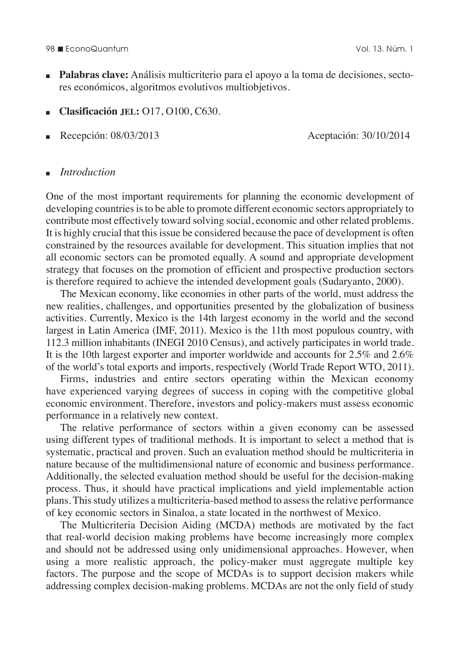#### 98 n EconoQuantum Vol. 13. Núm. 1

- **n Palabras clave:** Análisis multicriterio para el apoyo a la toma de decisiones, sectores económicos, algoritmos evolutivos multiobjetivos.
- <sup>n</sup>**Clasificación jel:** O17, O100, C630.
- $\blacksquare$  Recepción: 08/03/2013 Aceptación: 30/10/2014

### <sup>n</sup>*Introduction*

One of the most important requirements for planning the economic development of developing countries is to be able to promote different economic sectors appropriately to contribute most effectively toward solving social, economic and other related problems. It is highly crucial that this issue be considered because the pace of development is often constrained by the resources available for development. This situation implies that not all economic sectors can be promoted equally. A sound and appropriate development strategy that focuses on the promotion of efficient and prospective production sectors is therefore required to achieve the intended development goals (Sudaryanto, 2000).

The Mexican economy, like economies in other parts of the world, must address the new realities, challenges, and opportunities presented by the globalization of business activities. Currently, Mexico is the 14th largest economy in the world and the second largest in Latin America (IMF, 2011). Mexico is the 11th most populous country, with 112.3 million inhabitants (INEGI 2010 Census), and actively participates in world trade. It is the 10th largest exporter and importer worldwide and accounts for 2.5% and 2.6% of the world's total exports and imports, respectively (World Trade Report WTO, 2011).

Firms, industries and entire sectors operating within the Mexican economy have experienced varying degrees of success in coping with the competitive global economic environment. Therefore, investors and policy-makers must assess economic performance in a relatively new context.

The relative performance of sectors within a given economy can be assessed using different types of traditional methods. It is important to select a method that is systematic, practical and proven. Such an evaluation method should be multicriteria in nature because of the multidimensional nature of economic and business performance. Additionally, the selected evaluation method should be useful for the decision-making process. Thus, it should have practical implications and yield implementable action plans. This study utilizes a multicriteria-based method to assess the relative performance of key economic sectors in Sinaloa, a state located in the northwest of Mexico.

The Multicriteria Decision Aiding (MCDA) methods are motivated by the fact that real-world decision making problems have become increasingly more complex and should not be addressed using only unidimensional approaches. However, when using a more realistic approach, the policy-maker must aggregate multiple key factors. The purpose and the scope of MCDAs is to support decision makers while addressing complex decision-making problems. MCDAs are not the only field of study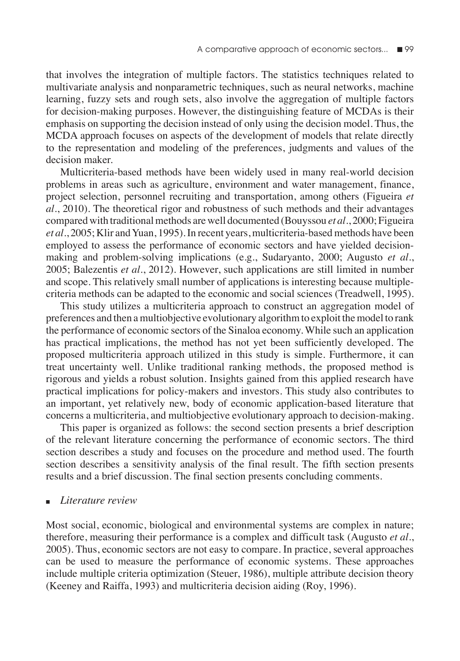that involves the integration of multiple factors. The statistics techniques related to multivariate analysis and nonparametric techniques, such as neural networks, machine learning, fuzzy sets and rough sets, also involve the aggregation of multiple factors for decision-making purposes. However, the distinguishing feature of MCDAs is their emphasis on supporting the decision instead of only using the decision model. Thus, the MCDA approach focuses on aspects of the development of models that relate directly to the representation and modeling of the preferences, judgments and values of the decision maker.

Multicriteria-based methods have been widely used in many real-world decision problems in areas such as agriculture, environment and water management, finance, project selection, personnel recruiting and transportation, among others (Figueira *et al*., 2010). The theoretical rigor and robustness of such methods and their advantages compared with traditional methods are well documented (Bouyssou *et al*., 2000; Figueira *et al*., 2005; Klir and Yuan, 1995). In recent years, multicriteria-based methods have been employed to assess the performance of economic sectors and have yielded decisionmaking and problem-solving implications (e.g., Sudaryanto, 2000; Augusto *et al*., 2005; Balezentis *et al*., 2012). However, such applications are still limited in number and scope. This relatively small number of applications is interesting because multiplecriteria methods can be adapted to the economic and social sciences (Treadwell, 1995).

This study utilizes a multicriteria approach to construct an aggregation model of preferences and then a multiobjective evolutionary algorithm to exploit the model to rank the performance of economic sectors of the Sinaloa economy. While such an application has practical implications, the method has not yet been sufficiently developed. The proposed multicriteria approach utilized in this study is simple. Furthermore, it can treat uncertainty well. Unlike traditional ranking methods, the proposed method is rigorous and yields a robust solution. Insights gained from this applied research have practical implications for policy-makers and investors. This study also contributes to an important, yet relatively new, body of economic application-based literature that concerns a multicriteria, and multiobjective evolutionary approach to decision-making.

This paper is organized as follows: the second section presents a brief description of the relevant literature concerning the performance of economic sectors. The third section describes a study and focuses on the procedure and method used. The fourth section describes a sensitivity analysis of the final result. The fifth section presents results and a brief discussion. The final section presents concluding comments.

### <sup>n</sup>*Literature review*

Most social, economic, biological and environmental systems are complex in nature; therefore, measuring their performance is a complex and difficult task (Augusto *et al*., 2005). Thus, economic sectors are not easy to compare. In practice, several approaches can be used to measure the performance of economic systems. These approaches include multiple criteria optimization (Steuer, 1986), multiple attribute decision theory (Keeney and Raiffa, 1993) and multicriteria decision aiding (Roy, 1996).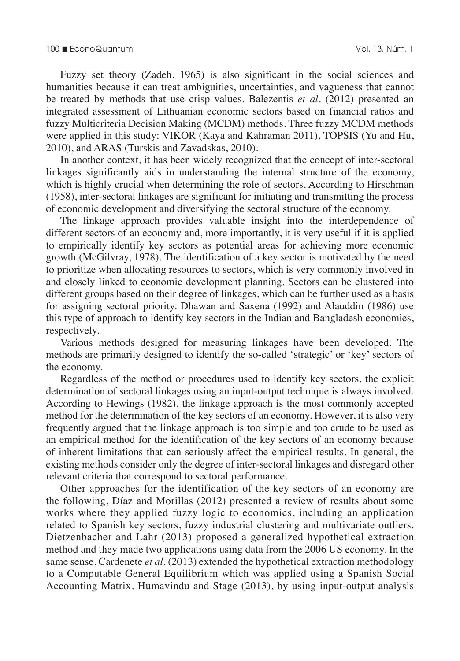Fuzzy set theory (Zadeh, 1965) is also significant in the social sciences and humanities because it can treat ambiguities, uncertainties, and vagueness that cannot be treated by methods that use crisp values. Balezentis *et al*. (2012) presented an integrated assessment of Lithuanian economic sectors based on financial ratios and fuzzy Multicriteria Decision Making (MCDM) methods. Three fuzzy MCDM methods were applied in this study: VIKOR (Kaya and Kahraman 2011), TOPSIS (Yu and Hu, 2010), and ARAS (Turskis and Zavadskas, 2010).

In another context, it has been widely recognized that the concept of inter-sectoral linkages significantly aids in understanding the internal structure of the economy, which is highly crucial when determining the role of sectors. According to Hirschman (1958), inter-sectoral linkages are significant for initiating and transmitting the process of economic development and diversifying the sectoral structure of the economy.

The linkage approach provides valuable insight into the interdependence of different sectors of an economy and, more importantly, it is very useful if it is applied to empirically identify key sectors as potential areas for achieving more economic growth (McGilvray, 1978). The identification of a key sector is motivated by the need to prioritize when allocating resources to sectors, which is very commonly involved in and closely linked to economic development planning. Sectors can be clustered into different groups based on their degree of linkages, which can be further used as a basis for assigning sectoral priority. Dhawan and Saxena (1992) and Alauddin (1986) use this type of approach to identify key sectors in the Indian and Bangladesh economies, respectively.

Various methods designed for measuring linkages have been developed. The methods are primarily designed to identify the so-called 'strategic' or 'key' sectors of the economy.

Regardless of the method or procedures used to identify key sectors, the explicit determination of sectoral linkages using an input-output technique is always involved. According to Hewings (1982), the linkage approach is the most commonly accepted method for the determination of the key sectors of an economy. However, it is also very frequently argued that the linkage approach is too simple and too crude to be used as an empirical method for the identification of the key sectors of an economy because of inherent limitations that can seriously affect the empirical results. In general, the existing methods consider only the degree of inter-sectoral linkages and disregard other relevant criteria that correspond to sectoral performance.

Other approaches for the identification of the key sectors of an economy are the following, Díaz and Morillas (2012) presented a review of results about some works where they applied fuzzy logic to economics, including an application related to Spanish key sectors, fuzzy industrial clustering and multivariate outliers. Dietzenbacher and Lahr (2013) proposed a generalized hypothetical extraction method and they made two applications using data from the 2006 US economy. In the same sense, Cardenete *et al*. (2013) extended the hypothetical extraction methodology to a Computable General Equilibrium which was applied using a Spanish Social Accounting Matrix. Humavindu and Stage (2013), by using input-output analysis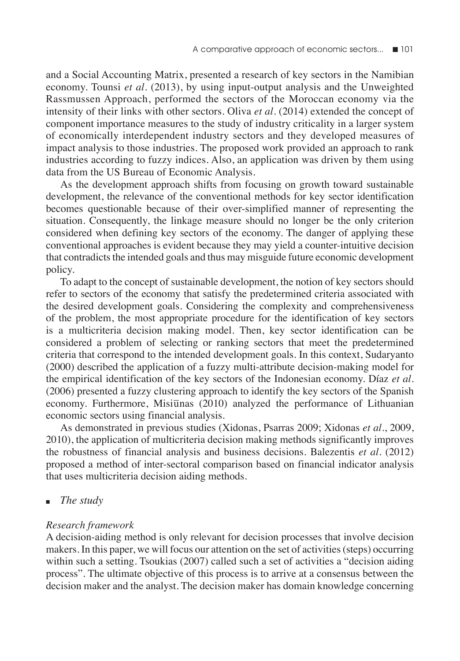and a Social Accounting Matrix, presented a research of key sectors in the Namibian economy. Tounsi *et al*. (2013), by using input-output analysis and the Unweighted Rassmussen Approach, performed the sectors of the Moroccan economy via the intensity of their links with other sectors. Oliva *et al*. (2014) extended the concept of component importance measures to the study of industry criticality in a larger system of economically interdependent industry sectors and they developed measures of impact analysis to those industries. The proposed work provided an approach to rank industries according to fuzzy indices. Also, an application was driven by them using data from the US Bureau of Economic Analysis.

As the development approach shifts from focusing on growth toward sustainable development, the relevance of the conventional methods for key sector identification becomes questionable because of their over-simplified manner of representing the situation. Consequently, the linkage measure should no longer be the only criterion considered when defining key sectors of the economy. The danger of applying these conventional approaches is evident because they may yield a counter-intuitive decision that contradicts the intended goals and thus may misguide future economic development policy.

To adapt to the concept of sustainable development, the notion of key sectors should refer to sectors of the economy that satisfy the predetermined criteria associated with the desired development goals. Considering the complexity and comprehensiveness of the problem, the most appropriate procedure for the identification of key sectors is a multicriteria decision making model. Then, key sector identification can be considered a problem of selecting or ranking sectors that meet the predetermined criteria that correspond to the intended development goals. In this context, Sudaryanto (2000) described the application of a fuzzy multi-attribute decision-making model for the empirical identification of the key sectors of the Indonesian economy. Díaz *et al*. (2006) presented a fuzzy clustering approach to identify the key sectors of the Spanish economy. Furthermore, Misi $\overline{u}$ nas (2010) analyzed the performance of Lithuanian economic sectors using financial analysis.

As demonstrated in previous studies (Xidonas, Psarras 2009; Xidonas *et al*., 2009, 2010), the application of multicriteria decision making methods significantly improves the robustness of financial analysis and business decisions. Balezentis *et al*. (2012) proposed a method of inter-sectoral comparison based on financial indicator analysis that uses multicriteria decision aiding methods.

*The study* 

# *Research framework*

A decision-aiding method is only relevant for decision processes that involve decision makers. In this paper, we will focus our attention on the set of activities (steps) occurring within such a setting. Tsoukias (2007) called such a set of activities a "decision aiding process". The ultimate objective of this process is to arrive at a consensus between the decision maker and the analyst. The decision maker has domain knowledge concerning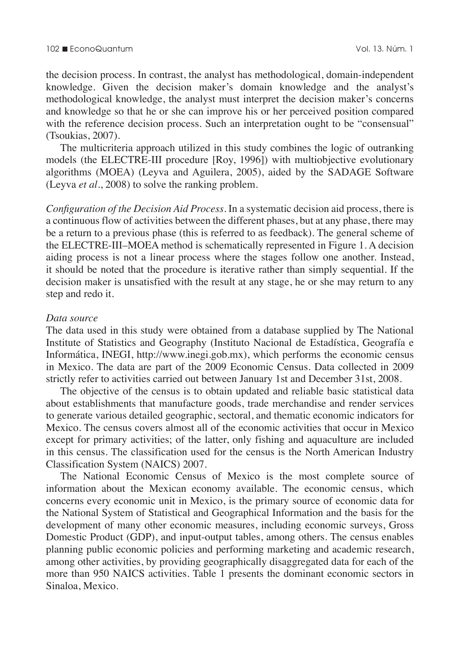the decision process. In contrast, the analyst has methodological, domain-independent knowledge. Given the decision maker's domain knowledge and the analyst's methodological knowledge, the analyst must interpret the decision maker's concerns and knowledge so that he or she can improve his or her perceived position compared with the reference decision process. Such an interpretation ought to be "consensual" (Tsoukias, 2007).

The multicriteria approach utilized in this study combines the logic of outranking models (the ELECTRE-III procedure [Roy, 1996]) with multiobjective evolutionary algorithms (MOEA) (Leyva and Aguilera, 2005), aided by the SADAGE Software (Leyva *et al*., 2008) to solve the ranking problem.

*Configuration of the Decision Aid Process.* In a systematic decision aid process, there is a continuous flow of activities between the different phases, but at any phase, there may be a return to a previous phase (this is referred to as feedback). The general scheme of the ELECTRE-III–MOEA method is schematically represented in Figure 1. A decision aiding process is not a linear process where the stages follow one another. Instead, it should be noted that the procedure is iterative rather than simply sequential. If the decision maker is unsatisfied with the result at any stage, he or she may return to any step and redo it.

## *Data source*

The data used in this study were obtained from a database supplied by The National Institute of Statistics and Geography (Instituto Nacional de Estadística, Geografía e Informática, INEGI, http://www.inegi.gob.mx), which performs the economic census in Mexico. The data are part of the 2009 Economic Census. Data collected in 2009 strictly refer to activities carried out between January 1st and December 31st, 2008.

The objective of the census is to obtain updated and reliable basic statistical data about establishments that manufacture goods, trade merchandise and render services to generate various detailed geographic, sectoral, and thematic economic indicators for Mexico. The census covers almost all of the economic activities that occur in Mexico except for primary activities; of the latter, only fishing and aquaculture are included in this census. The classification used for the census is the North American Industry Classification System (NAICS) 2007.

The National Economic Census of Mexico is the most complete source of information about the Mexican economy available. The economic census, which concerns every economic unit in Mexico, is the primary source of economic data for the National System of Statistical and Geographical Information and the basis for the development of many other economic measures, including economic surveys, Gross Domestic Product (GDP), and input-output tables, among others. The census enables planning public economic policies and performing marketing and academic research, among other activities, by providing geographically disaggregated data for each of the more than 950 NAICS activities. Table 1 presents the dominant economic sectors in Sinaloa, Mexico.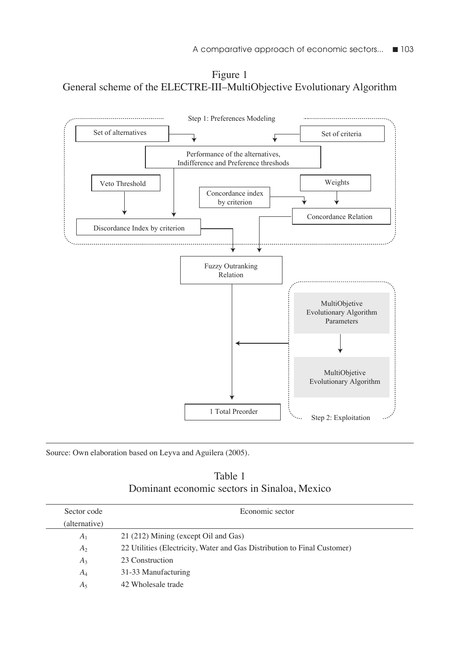Figure 1 General scheme of the ELECTRE-III–MultiObjective Evolutionary Algorithm



Source: Own elaboration based on Leyva and Aguilera (2005).

| Table 1                                      |
|----------------------------------------------|
| Dominant economic sectors in Sinaloa, Mexico |

| Sector code    | Economic sector                                                          |
|----------------|--------------------------------------------------------------------------|
| (alternative)  |                                                                          |
| A <sub>1</sub> | 21 (212) Mining (except Oil and Gas)                                     |
| A <sub>2</sub> | 22 Utilities (Electricity, Water and Gas Distribution to Final Customer) |
| $A_3$          | 23 Construction                                                          |
| $A_4$          | 31-33 Manufacturing                                                      |
| A٢             | 42 Wholesale trade                                                       |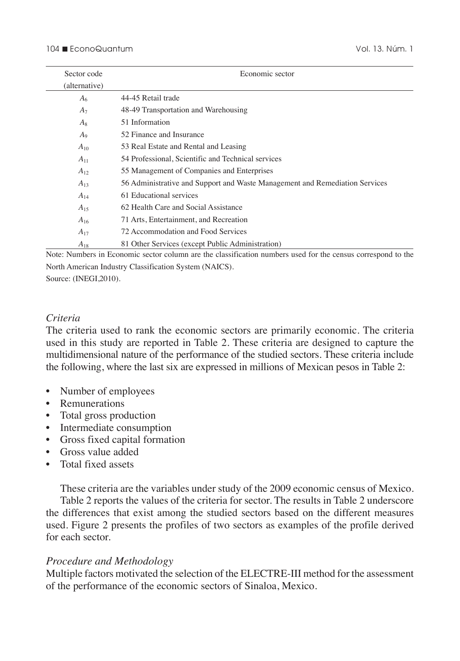| Sector code    | Economic sector                                                             |
|----------------|-----------------------------------------------------------------------------|
| (alternative)  |                                                                             |
| A <sub>6</sub> | 44-45 Retail trade                                                          |
| $A_7$          | 48-49 Transportation and Warehousing                                        |
| $A_8$          | 51 Information                                                              |
| $A_9$          | 52 Finance and Insurance                                                    |
| $A_{10}$       | 53 Real Estate and Rental and Leasing                                       |
| $A_{11}$       | 54 Professional, Scientific and Technical services                          |
| $A_{12}$       | 55 Management of Companies and Enterprises                                  |
| $A_{13}$       | 56 Administrative and Support and Waste Management and Remediation Services |
| $A_{14}$       | 61 Educational services                                                     |
| $A_{15}$       | 62 Health Care and Social Assistance                                        |
| $A_{16}$       | 71 Arts, Entertainment, and Recreation                                      |
| $A_{17}$       | 72 Accommodation and Food Services                                          |
| $A_{18}$       | 81 Other Services (except Public Administration)                            |

Note: Numbers in Economic sector column are the classification numbers used for the census correspond to the North American Industry Classification System (NAICS).

Source: (INEGI,2010).

## *Criteria*

The criteria used to rank the economic sectors are primarily economic. The criteria used in this study are reported in Table 2. These criteria are designed to capture the multidimensional nature of the performance of the studied sectors. These criteria include the following, where the last six are expressed in millions of Mexican pesos in Table 2:

- Number of employees
- Remunerations
- Total gross production
- Intermediate consumption
- Gross fixed capital formation
- Gross value added
- Total fixed assets

These criteria are the variables under study of the 2009 economic census of Mexico. Table 2 reports the values of the criteria for sector. The results in Table 2 underscore the differences that exist among the studied sectors based on the different measures used. Figure 2 presents the profiles of two sectors as examples of the profile derived for each sector.

### *Procedure and Methodology*

Multiple factors motivated the selection of the ELECTRE-III method for the assessment of the performance of the economic sectors of Sinaloa, Mexico.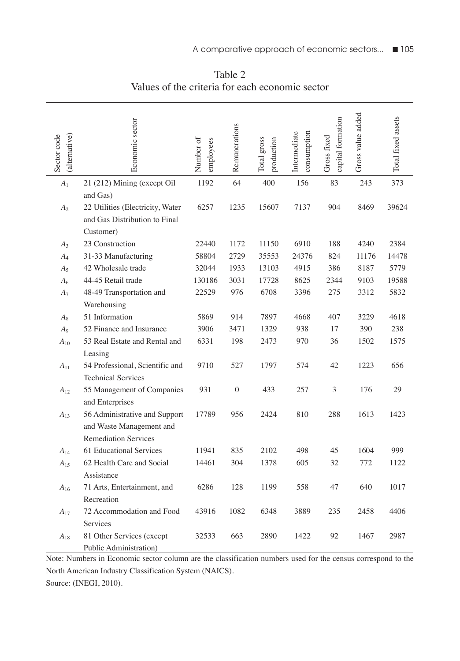| (alternative)<br>Sector code | Economic sector                                                                          | Number of<br>employees | Remunerations | Total gross<br>production | consumption<br>Intermediate | capital formation<br>Gross fixed | Gross value added | Total fixed assets |
|------------------------------|------------------------------------------------------------------------------------------|------------------------|---------------|---------------------------|-----------------------------|----------------------------------|-------------------|--------------------|
| A <sub>1</sub>               | 21 (212) Mining (except Oil                                                              | 1192                   | 64            | 400                       | 156                         | 83                               | 243               | 373                |
| $A_2$                        | and Gas)<br>22 Utilities (Electricity, Water<br>and Gas Distribution to Final            | 6257                   | 1235          | 15607                     | 7137                        | 904                              | 8469              | 39624              |
|                              | Customer)                                                                                |                        |               |                           |                             |                                  |                   |                    |
| $A_3$                        | 23 Construction                                                                          | 22440                  | 1172          | 11150                     | 6910                        | 188                              | 4240              | 2384               |
| $A_4$                        | 31-33 Manufacturing                                                                      | 58804                  | 2729          | 35553                     | 24376                       | 824                              | 11176             | 14478              |
| $A_5$                        | 42 Wholesale trade                                                                       | 32044                  | 1933          | 13103                     | 4915                        | 386                              | 8187              | 5779               |
| A <sub>6</sub>               | 44-45 Retail trade                                                                       | 130186                 | 3031          | 17728                     | 8625                        | 2344                             | 9103              | 19588              |
| $A_7$                        | 48-49 Transportation and                                                                 | 22529                  | 976           | 6708                      | 3396                        | 275                              | 3312              | 5832               |
|                              | Warehousing                                                                              |                        |               |                           |                             |                                  |                   |                    |
| $A_8$                        | 51 Information                                                                           | 5869                   | 914           | 7897                      | 4668                        | 407                              | 3229              | 4618               |
| A <sub>9</sub>               | 52 Finance and Insurance                                                                 | 3906                   | 3471          | 1329                      | 938                         | 17                               | 390               | 238                |
| $A_{10}$                     | 53 Real Estate and Rental and                                                            | 6331                   | 198           | 2473                      | 970                         | 36                               | 1502              | 1575               |
|                              | Leasing                                                                                  |                        |               |                           |                             |                                  |                   |                    |
| $A_{11}$                     | 54 Professional, Scientific and<br><b>Technical Services</b>                             | 9710                   | 527           | 1797                      | 574                         | 42                               | 1223              | 656                |
| $A_{12}$                     | 55 Management of Companies<br>and Enterprises                                            | 931                    | $\mathbf{0}$  | 433                       | 257                         | 3                                | 176               | 29                 |
| $A_{13}$                     | 56 Administrative and Support<br>and Waste Management and<br><b>Remediation Services</b> | 17789                  | 956           | 2424                      | 810                         | 288                              | 1613              | 1423               |
| $A_{14}$                     | 61 Educational Services                                                                  | 11941                  | 835           | 2102                      | 498                         | 45                               | 1604              | 999                |
| $A_{15}$                     | 62 Health Care and Social                                                                | 14461                  | 304           | 1378                      | 605                         | 32                               | 772               | 1122               |
|                              | Assistance                                                                               |                        |               |                           |                             |                                  |                   |                    |
| $A_{16}$                     | 71 Arts, Entertainment, and<br>Recreation                                                | 6286                   | 128           | 1199                      | 558                         | 47                               | 640               | 1017               |
| $A_{17}$                     | 72 Accommodation and Food<br>Services                                                    | 43916                  | 1082          | 6348                      | 3889                        | 235                              | 2458              | 4406               |
| $A_{18}$                     | 81 Other Services (except<br>Public Administration)                                      | 32533                  | 663           | 2890                      | 1422                        | 92                               | 1467              | 2987               |

Table 2 Values of the criteria for each economic sector

Note: Numbers in Economic sector column are the classification numbers used for the census correspond to the North American Industry Classification System (NAICS). Source: (INEGI, 2010).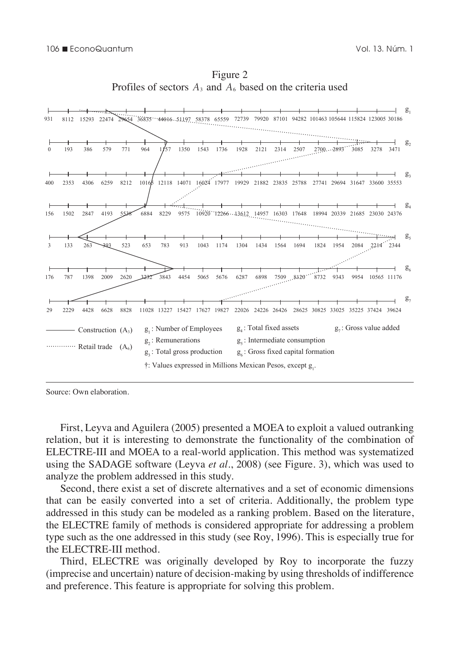

Figure 2 Profiles of sectors  $A_3$  and  $A_6$  based on the criteria used

First, Leyva and Aguilera (2005) presented a MOEA to exploit a valued outranking relation, but it is interesting to demonstrate the functionality of the combination of ELECTRE-III and MOEA to a real-world application. This method was systematized using the SADAGE software (Leyva *et al*., 2008) (see Figure. 3), which was used to analyze the problem addressed in this study.

Second, there exist a set of discrete alternatives and a set of economic dimensions that can be easily converted into a set of criteria. Additionally, the problem type addressed in this study can be modeled as a ranking problem. Based on the literature, the ELECTRE family of methods is considered appropriate for addressing a problem type such as the one addressed in this study (see Roy, 1996). This is especially true for the ELECTRE-III method.

Third, ELECTRE was originally developed by Roy to incorporate the fuzzy (imprecise and uncertain) nature of decision-making by using thresholds of indifference and preference. This feature is appropriate for solving this problem.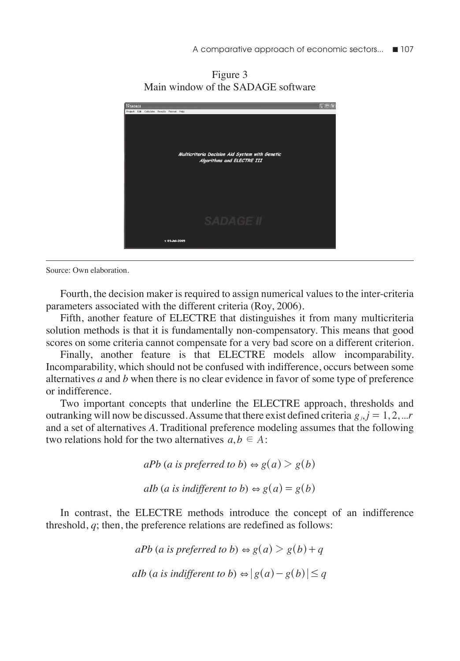Figure 3 Main window of the SADAGE software



Fourth, the decision maker is required to assign numerical values to the inter-criteria parameters associated with the different criteria (Roy, 2006).

Fifth, another feature of ELECTRE that distinguishes it from many multicriteria solution methods is that it is fundamentally non-compensatory. This means that good scores on some criteria cannot compensate for a very bad score on a different criterion.

Finally, another feature is that ELECTRE models allow incomparability. Incomparability, which should not be confused with indifference, occurs between some alternatives *a* and *b* when there is no clear evidence in favor of some type of preference or indifference.

Two important concepts that underline the ELECTRE approach, thresholds and outranking will now be discussed. Assume that there exist defined criteria  $g_i$ ,  $j = 1, 2, ...r$ and a set of alternatives *A*. Traditional preference modeling assumes that the following two relations hold for the two alternatives  $a, b \in A$ :

> $aPb$  (*a* is preferred to b)  $\Leftrightarrow g(a) > g(b)$ *aIb* (*a* is indifferent to b)  $\Leftrightarrow g(a) = g(b)$

In contrast, the ELECTRE methods introduce the concept of an indifference threshold, *q*; then, the preference relations are redefined as follows:

> $aPb$  (*a* is preferred to b)  $\Leftrightarrow g(a) > g(b) + q$ *aIb* (*a* is indifferent to b)  $\Leftrightarrow$   $|g(a) - g(b)| \leq q$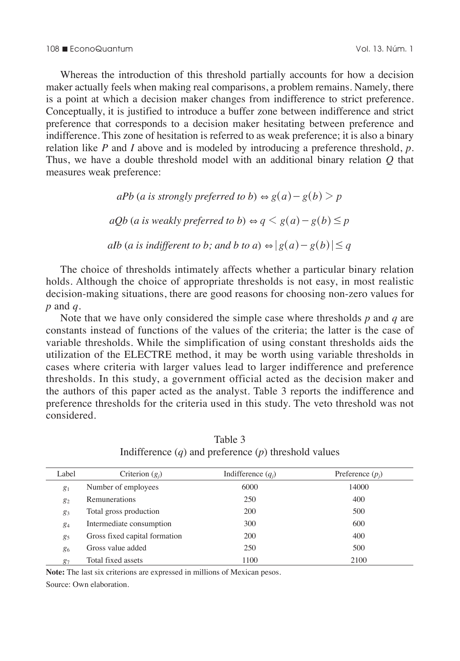Whereas the introduction of this threshold partially accounts for how a decision maker actually feels when making real comparisons, a problem remains. Namely, there is a point at which a decision maker changes from indifference to strict preference. Conceptually, it is justified to introduce a buffer zone between indifference and strict preference that corresponds to a decision maker hesitating between preference and indifference. This zone of hesitation is referred to as weak preference; it is also a binary relation like *P* and *I* above and is modeled by introducing a preference threshold, *p*. Thus, we have a double threshold model with an additional binary relation *Q* that measures weak preference:

> *aPb* (*a* is strongly preferred to b)  $\Leftrightarrow g(a) - g(b) > p$ *aOb* (*a* is weakly preferred to b)  $\Leftrightarrow q \leq g(a) - g(b) \leq p$ *aIb* (*a* is indifferent to *b*; and *b* to *a*)  $\Leftrightarrow$   $|g(a) - g(b)| \leq q$

The choice of thresholds intimately affects whether a particular binary relation holds. Although the choice of appropriate thresholds is not easy, in most realistic decision-making situations, there are good reasons for choosing non-zero values for *p* and *q*.

Note that we have only considered the simple case where thresholds *p* and *q* are constants instead of functions of the values of the criteria; the latter is the case of variable thresholds. While the simplification of using constant thresholds aids the utilization of the ELECTRE method, it may be worth using variable thresholds in cases where criteria with larger values lead to larger indifference and preference thresholds. In this study, a government official acted as the decision maker and the authors of this paper acted as the analyst. Table 3 reports the indifference and preference thresholds for the criteria used in this study. The veto threshold was not considered.

| Label | Criterion $(g_i)$             | Indifference $(q_i)$ | Preference $(p_i)$ |
|-------|-------------------------------|----------------------|--------------------|
| $g_1$ | Number of employees           | 6000                 | 14000              |
| $g_2$ | <b>Remunerations</b>          | 250                  | 400                |
| $g_3$ | Total gross production        | 200                  | 500                |
| 84    | Intermediate consumption      | 300                  | 600                |
| 85    | Gross fixed capital formation | 200                  | 400                |
| 86    | Gross value added             | 250                  | 500                |
| 87    | Total fixed assets            | 1100                 | 2100               |

Table 3 Indifference (*q*) and preference (*p*) threshold values

**Note:** The last six criterions are expressed in millions of Mexican pesos.

Source: Own elaboration.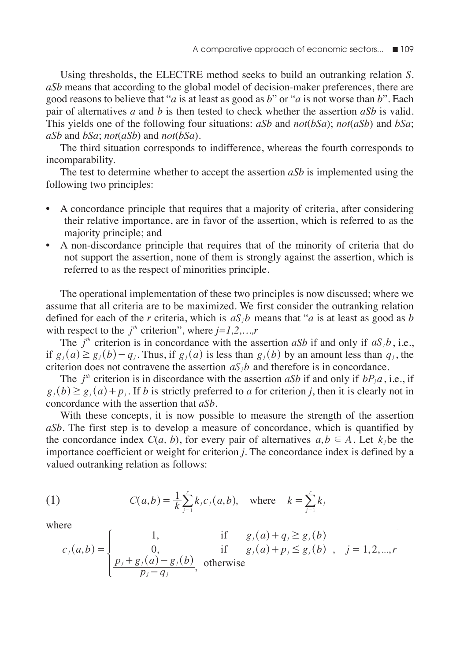Using thresholds, the ELECTRE method seeks to build an outranking relation *S*. *aSb* means that according to the global model of decision-maker preferences, there are good reasons to believe that "*a* is at least as good as *b*" or "*a* is not worse than *b*". Each pair of alternatives *a* and *b* is then tested to check whether the assertion *aSb* is valid. This yields one of the following four situations: *aSb* and *not*(*bSa*); *not*(*aSb*) and *bSa*; *aSb* and *bSa*; *not*(*aSb*) and *not*(*bSa*).

The third situation corresponds to indifference, whereas the fourth corresponds to incomparability.

The test to determine whether to accept the assertion *aSb* is implemented using the following two principles:

- A concordance principle that requires that a majority of criteria, after considering their relative importance, are in favor of the assertion, which is referred to as the majority principle; and
- A non-discordance principle that requires that of the minority of criteria that do not support the assertion, none of them is strongly against the assertion, which is referred to as the respect of minorities principle.

The operational implementation of these two principles is now discussed; where we assume that all criteria are to be maximized. We first consider the outranking relation defined for each of the *r* criteria, which is  $aS_i b$  means that "*a* is at least as good as *b* with respect to the  $j<sup>th</sup>$  criterion", where  $j=1,2,...,r$ 

The  $j^{\text{th}}$  criterion is in concordance with the assertion *aSb* if and only if  $aS_jb$ , i.e., if  $g_i(a) \ge g_j(b) - q_i$ . Thus, if  $g_i(a)$  is less than  $g_j(b)$  by an amount less than  $q_j$ , the criterion does not contravene the assertion  $aS<sub>i</sub>b$  and therefore is in concordance.

The  $j^{\mu}$  criterion is in discordance with the assertion *aSb* if and only if  $bP_ja$ , i.e., if  $g_i(b) \ge g_j(a) + p_j$ . If *b* is strictly preferred to *a* for criterion *j*, then it is clearly not in concordance with the assertion that *aSb*.

With these concepts, it is now possible to measure the strength of the assertion *aSb*. The first step is to develop a measure of concordance, which is quantified by the concordance index  $C(a, b)$ , for every pair of alternatives  $a, b \in A$ . Let  $k_i$ , be the importance coefficient or weight for criterion *j*. The concordance index is defined by a valued outranking relation as follows:

(1) 
$$
C(a,b) = \frac{1}{k} \sum_{j=1}^{r} k_j c_j(a,b), \text{ where } k = \sum_{j=1}^{r} k_j
$$

where

where

\n
$$
c_{j}(a,b) = \begin{cases}\n1, & \text{if } g_{j}(a) + q_{j} \geq g_{j}(b) \\
0, & \text{if } g_{j}(a) + p_{j} \leq g_{j}(b) \\
\frac{p_{j} + g_{j}(a) - g_{j}(b)}{p_{j} - q_{j}}, & \text{otherwise}\n\end{cases}
$$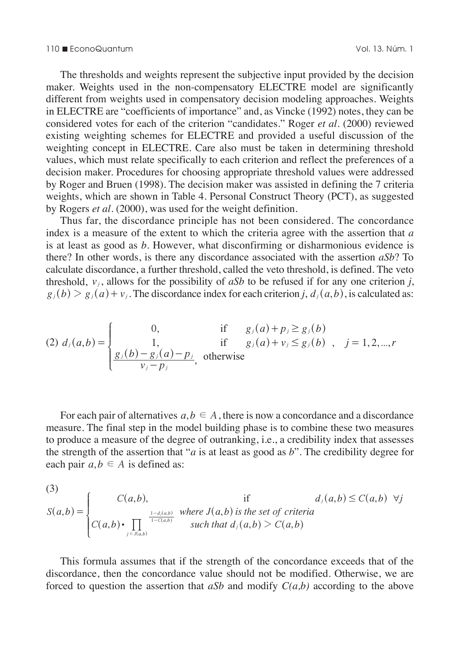#### 110 n EconoQuantum Vol. 13. Núm. 1

The thresholds and weights represent the subjective input provided by the decision maker. Weights used in the non-compensatory ELECTRE model are significantly different from weights used in compensatory decision modeling approaches. Weights in ELECTRE are "coefficients of importance" and, as Vincke (1992) notes, they can be considered votes for each of the criterion "candidates." Roger *et al*. (2000) reviewed existing weighting schemes for ELECTRE and provided a useful discussion of the weighting concept in ELECTRE. Care also must be taken in determining threshold values, which must relate specifically to each criterion and reflect the preferences of a decision maker. Procedures for choosing appropriate threshold values were addressed by Roger and Bruen (1998). The decision maker was assisted in defining the 7 criteria weights, which are shown in Table 4. Personal Construct Theory (PCT), as suggested by Rogers *et al*. (2000), was used for the weight definition.

Thus far, the discordance principle has not been considered. The concordance index is a measure of the extent to which the criteria agree with the assertion that *a* is at least as good as *b*. However, what disconfirming or disharmonious evidence is there? In other words, is there any discordance associated with the assertion *aSb*? To calculate discordance, a further threshold, called the veto threshold, is defined. The veto threshold,  $v_i$ , allows for the possibility of  $aSb$  to be refused if for any one criterion *j*,  $g_i(b) > g_i(a) + v_j$ . The discordance index for each criterion *j*,  $d_i(a, b)$ , is calculated as:

(2) 
$$
d_j(a,b) = \begin{cases} 0, & \text{if } g_j(a) + p_j \ge g_j(b) \\ 1, & \text{if } g_j(a) + v_j \le g_j(b) \\ \frac{g_j(b) - g_j(a) - p_j}{v_j - p_j}, & \text{otherwise} \end{cases}
$$
, otherwise

For each pair of alternatives  $a, b \in A$ , there is now a concordance and a discordance measure. The final step in the model building phase is to combine these two measures to produce a measure of the degree of outranking, i.e., a credibility index that assesses the strength of the assertion that "*a* is at least as good as *b*". The credibility degree for each pair  $a, b \in A$  is defined as:

(3)  
\n
$$
S(a,b) = \begin{cases}\nC(a,b), & \text{if } d_j(a,b) \le C(a,b) \ \forall j \\
C(a,b) \cdot \prod_{j \in J(a,b)} \frac{1-d_j(a,b)}{1-C(a,b)} & \text{such that } d_j(a,b) > C(a,b) \\
\end{cases}
$$

This formula assumes that if the strength of the concordance exceeds that of the discordance, then the concordance value should not be modified. Otherwise, we are forced to question the assertion that *aSb* and modify *C(a,b)* according to the above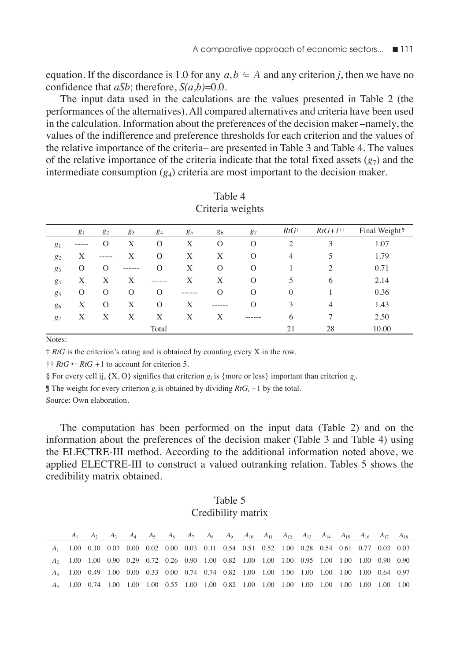equation. If the discordance is 1.0 for any  $a, b \in A$  and any criterion *j*, then we have no confidence that *aSb*; therefore, *S(a,b)*=0.0.

The input data used in the calculations are the values presented in Table 2 (the performances of the alternatives). All compared alternatives and criteria have been used in the calculation. Information about the preferences of the decision maker –namely, the values of the indifference and preference thresholds for each criterion and the values of the relative importance of the criteria– are presented in Table 3 and Table 4. The values of the relative importance of the criteria indicate that the total fixed assets  $(g<sub>7</sub>)$  and the intermediate consumption  $(g_4)$  criteria are most important to the decision maker.

|       | g <sub>1</sub> | 82 | 83      | 84       | 85      | 86       | 87       | $RtG^{\dagger}$ | $RtG+I^{\dagger\dagger}$ | Final Weight <sup>9</sup> |
|-------|----------------|----|---------|----------|---------|----------|----------|-----------------|--------------------------|---------------------------|
| $g_1$ | -----          | O  | Х       | 0        | Х       | $\Omega$ | $\Omega$ | $\overline{c}$  | 3                        | 1.07                      |
| $g_2$ | Х              |    | Х       | $\Omega$ | Х       | Х        | $\Omega$ | 4               | 5                        | 1.79                      |
| 83    | O              | O  | ------- | $\Omega$ | Х       | $\Omega$ | $\Omega$ |                 | $\overline{c}$           | 0.71                      |
| $g_4$ | X              | X  | X       | -------  | Х       | Х        | $\Omega$ | 5               | 6                        | 2.14                      |
| 85    | 0              | 0  | 0       | 0        | ------- | О        | $\Omega$ | $\overline{0}$  |                          | 0.36                      |
| 86    | Х              | 0  | Х       | $\Omega$ | Х       | ------   | O        | 3               | 4                        | 1.43                      |
| $g_7$ | X              | Х  | Х       | X        | Х       | Х        | ------   | 6               | 7                        | 2.50                      |
|       |                |    |         | Total    |         |          |          | 21              | 28                       | 10.00                     |

| Table 4          |
|------------------|
| Criteria weights |

Notes:

† *RtG* is the criterion's rating and is obtained by counting every X in the row.

 $\dagger \dagger RtG \leftarrow RtG + 1$  to account for criterion 5.

§ For every cell ij,  $\{X, O\}$  signifies that criterion  $g_i$  is  $\{more$  or less  $\}$  important than criterion  $g_i$ .

**The weight for every criterion**  $g_i$  is obtained by dividing  $RtG_i + 1$  by the total.

Source: Own elaboration.

The computation has been performed on the input data (Table 2) and on the information about the preferences of the decision maker (Table 3 and Table 4) using the ELECTRE-III method. According to the additional information noted above, we applied ELECTRE-III to construct a valued outranking relation. Tables 5 shows the credibility matrix obtained.

Table 5 Credibility matrix

|                                                                                              |  |  |  |  |  |  |  | $A_1$ $A_2$ $A_3$ $A_4$ $A_5$ $A_6$ $A_7$ $A_8$ $A_9$ $A_{10}$ $A_{11}$ $A_{12}$ $A_{13}$ $A_{14}$ $A_{15}$ $A_{16}$ $A_{17}$ $A_{18}$ |  |
|----------------------------------------------------------------------------------------------|--|--|--|--|--|--|--|----------------------------------------------------------------------------------------------------------------------------------------|--|
| 41 1.00 0.10 0.03 0.00 0.02 0.00 0.03 0.11 0.54 0.51 0.52 1.00 0.28 0.54 0.61 0.77 0.03 0.03 |  |  |  |  |  |  |  |                                                                                                                                        |  |
| 42 1.00 1.00 0.90 0.29 0.72 0.26 0.90 1.00 0.82 1.00 1.00 1.00 0.95 1.00 1.00 1.00 0.90 0.90 |  |  |  |  |  |  |  |                                                                                                                                        |  |
| $A_3$ 1.00 0.49 1.00 0.00 0.33 0.00 0.74 0.74 0.82 1.00 1.00 1.00 1.00 1.00 1.00 0.64 0.97   |  |  |  |  |  |  |  |                                                                                                                                        |  |
|                                                                                              |  |  |  |  |  |  |  |                                                                                                                                        |  |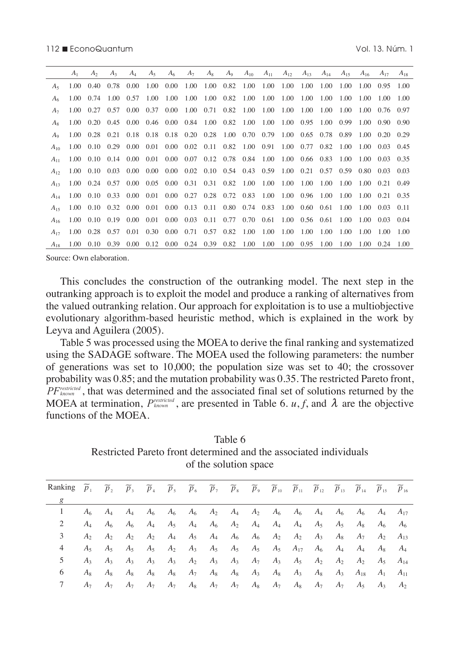|                | A <sub>1</sub> | A <sub>2</sub>                                                                            | $A_3$                        | $A_{\perp}$ | $A_{5}$           | A <sub>6</sub>                                    | A <sub>7</sub> | $A_8$          | $A_9$                                          | $A_{10}$  | $A_{11}$ | $A_{12}$ | $A_{13}$                     | $A_{14}$            | $A_{15}$ | $A_{16}$                     | $A_{17}$        | $A_{18}$ |
|----------------|----------------|-------------------------------------------------------------------------------------------|------------------------------|-------------|-------------------|---------------------------------------------------|----------------|----------------|------------------------------------------------|-----------|----------|----------|------------------------------|---------------------|----------|------------------------------|-----------------|----------|
| A <sub>5</sub> |                | 1.00 0.40 0.78 0.00                                                                       |                              |             | 1.00 0.00         |                                                   | 1.00           |                | 1.00  0.82  1.00  1.00  1.00  1.00  1.00       |           |          |          |                              |                     | 1.00     | 1.00 0.95 1.00               |                 |          |
| A6             |                | 1 00 0 74                                                                                 | $1.00 \quad 0.57$            |             | 1.00              | 1.00                                              | 1.00           |                | 1.00 0.82 1.00 1.00                            |           |          | 1.00     | 1.00                         | 1.00                | 1.00     | 1.00                         | 1.00            | 1.00     |
| A <sub>7</sub> |                | 1.00 0.27 0.57 0.00 0.37 0.00                                                             |                              |             |                   |                                                   |                |                | 1.00  0.71  0.82  1.00  1.00  1.00  1.00  1.00 |           |          |          |                              |                     | 1.00     | 1.00 0.76 0.97               |                 |          |
| $A_{8}$        |                | 1.00 0.20 0.45 0.00 0.46 0.00 0.84 1.00 0.82 1.00 1.00                                    |                              |             |                   |                                                   |                |                |                                                |           |          |          |                              | 1.00 0.95 1.00 0.99 |          | 1.00                         | $0.90 \pm 0.90$ |          |
| A <sub>o</sub> |                | 1.00 0.28 0.21 0.18 0.18 0.18 0.20 0.28 1.00 0.70 0.79 1.00 0.65 0.78 0.89                |                              |             |                   |                                                   |                |                |                                                |           |          |          |                              |                     |          | $1.00 \quad 0.20 \quad 0.29$ |                 |          |
| $A_{10}$       |                | 1.00 0.10 0.29 0.00 0.01 0.00 0.02 0.11 0.82 1.00 0.91 1.00 0.77 0.82 1.00                |                              |             |                   |                                                   |                |                |                                                |           |          |          |                              |                     |          |                              | 1.00 0.03 0.45  |          |
| $A_{11}$       |                | 1.00 0.10 0.14 0.00 0.01 0.00 0.07 0.12 0.78 0.84 1.00 1.00 0.66 0.83 1.00                |                              |             |                   |                                                   |                |                |                                                |           |          |          |                              |                     |          | 1.00 0.03 0.35               |                 |          |
| $A_{12}$       |                | 1.00 0.10 0.03 0.00 0.00                                                                  |                              |             |                   | 0.00 0.02 0.10 0.54 0.43 0.59 1.00 0.21 0.57 0.59 |                |                |                                                |           |          |          |                              |                     |          |                              | 0.80 0.03 0.03  |          |
| $A_{13}$       |                | 1.00 0.24 0.57 0.00 0.05 0.00 0.31 0.31 0.82 1.00 1.00                                    |                              |             |                   |                                                   |                |                |                                                |           |          |          | $1.00 \quad 1.00$            | 1.00                | 1.00     | 1.00 0.21 0.49               |                 |          |
| $A_{14}$       |                | 1.00 0.10 0.33 0.00 0.01 0.00 0.27 0.28 0.72 0.83 1.00 1.00 0.96 1.00                     |                              |             |                   |                                                   |                |                |                                                |           |          |          |                              |                     |          | $1.00$ $1.00$ $0.21$ $0.35$  |                 |          |
| $A_{15}$       |                | 1.00 0.10 0.32 0.00 0.01 0.00 0.13 0.11 0.80 0.74 0.83                                    |                              |             |                   |                                                   |                |                |                                                |           |          |          | 1.00 0.60 0.61               |                     | 1.00     | 1.00 0.03 0.11               |                 |          |
| $A_{16}$       |                | 1.00 0.10 0.19 0.00 0.01 0.00 0.03 0.11 0.77 0.70 0.61 1.00 0.56 0.61 1.00 1.00 0.03 0.04 |                              |             |                   |                                                   |                |                |                                                |           |          |          |                              |                     |          |                              |                 |          |
| $A_{17}$       |                | 1.00 0.28 0.57 0.01 0.30 0.00 0.71 0.57 0.82 1.00 1.00                                    |                              |             |                   |                                                   |                |                |                                                |           |          | 1.00     | 1.00                         | 1.00                | 1.00     | 1.00                         | 1.00            | 1.00     |
| $A_{18}$       | 1.00           |                                                                                           | $0.10 \quad 0.39 \quad 0.00$ |             | $0.12 \quad 0.00$ |                                                   |                | 0.24 0.39 0.82 |                                                | 1.00 1.00 |          |          | $1.00 \quad 0.95 \quad 1.00$ |                     | 1.00     | 1.00                         | 0.24            | 1.00     |

This concludes the construction of the outranking model. The next step in the outranking approach is to exploit the model and produce a ranking of alternatives from the valued outranking relation. Our approach for exploitation is to use a multiobjective evolutionary algorithm-based heuristic method, which is explained in the work by Leyva and Aguilera (2005).

Table 5 was processed using the MOEA to derive the final ranking and systematized using the SADAGE software. The MOEA used the following parameters: the number of generations was set to 10,000; the population size was set to 40; the crossover probability was 0.85; and the mutation probability was 0.35. The restricted Pareto front, *PFknown restricted* , that was determined and the associated final set of solutions returned by the MOEA at termination,  $P_{known}^{restricted}$ , are presented in Table 6. *u*, *f*, and  $\lambda$  are the objective functions of the MOEA.

Table 6 Restricted Pareto front determined and the associated individuals of the solution space

| Ranking $p_1$ |                | p <sub>2</sub> | $p_{\lambda}$ | $p_4$ |  |  | $p_5$ $p_6$ $p_7$ $p_8$ $p_9$ $p_{10}$ $p_{11}$ $p_{12}$ $p_{13}$ $p_{14}$ $p_{15}$                                                                  |  |  | $p_{16}$       |
|---------------|----------------|----------------|---------------|-------|--|--|------------------------------------------------------------------------------------------------------------------------------------------------------|--|--|----------------|
|               |                |                |               |       |  |  |                                                                                                                                                      |  |  |                |
|               | A6.            | $A_4$          |               |       |  |  | $A_4$ $A_6$ $A_6$ $A_6$ $A_2$ $A_4$ $A_2$ $A_6$ $A_6$ $A_4$ $A_6$ $A_6$ $A_4$ $A_{17}$                                                               |  |  |                |
|               | $A_4$          |                |               |       |  |  | $A_6$ $A_6$ $A_4$ $A_5$ $A_4$ $A_6$ $A_2$ $A_4$ $A_4$ $A_4$ $A_5$ $A_5$ $A_8$ $A_6$                                                                  |  |  | $A_6$          |
| 3             | A <sub>2</sub> |                |               |       |  |  | $A_2 \quad A_2 \quad A_3 \quad A_4 \quad A_5 \quad A_4 \quad A_6 \quad A_6 \quad A_2 \quad A_2 \quad A_3 \quad A_8 \quad A_7 \quad A_2 \quad A_{13}$ |  |  |                |
|               |                |                |               |       |  |  | $A_5$ $A_5$ $A_5$ $A_5$ $A_2$ $A_3$ $A_5$ $A_5$ $A_5$ $A_5$ $A_{17}$ $A_6$ $A_4$ $A_4$ $A_8$ $A_4$                                                   |  |  |                |
| 5.            | $A_3$          |                |               |       |  |  | $A_3$ $A_3$ $A_3$ $A_3$ $A_2$ $A_3$ $A_3$ $A_7$ $A_3$ $A_5$ $A_2$ $A_2$ $A_3$ $A_5$ $A_{14}$                                                         |  |  |                |
| 6             | $A_{8}$        |                |               |       |  |  | $A_8$ $A_8$ $A_8$ $A_8$ $A_7$ $A_8$ $A_8$ $A_3$ $A_8$ $A_3$ $A_8$ $A_3$ $A_{18}$ $A_{11}$ $A_{11}$                                                   |  |  |                |
|               | $A_7$          | $A_7$          |               |       |  |  | $A_7$ $A_7$ $A_7$ $A_8$ $A_7$ $A_7$ $A_8$ $A_7$ $A_8$ $A_7$ $A_7$ $A_7$ $A_5$ $A_3$                                                                  |  |  | A <sub>2</sub> |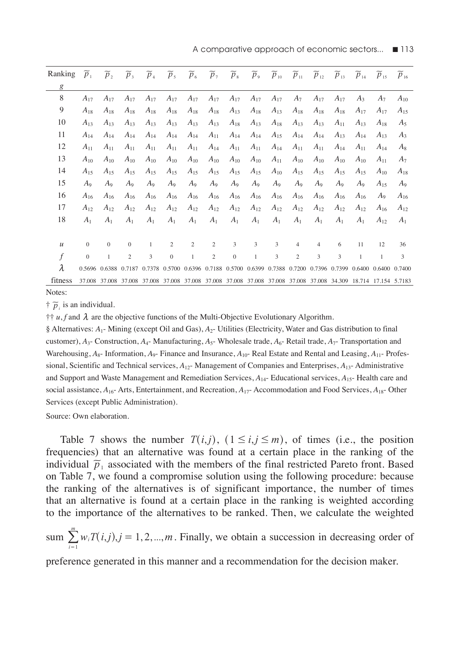A comparative approach of economic sectors...  $\blacksquare$  113

| Ranking          | $p_1$          | p <sub>2</sub> | p <sub>3</sub>                                                                                                  | $p_4$          | p <sub>5</sub> | $p_{6}$      | p <sub>7</sub> | $p_{s}$      | p <sub>9</sub> | $p_{10}$ | $p_{11}$       | $p_{12}$ | $p_{13}$ | $p_{14}$     | $p_{15}$     | $p_{16}$       |
|------------------|----------------|----------------|-----------------------------------------------------------------------------------------------------------------|----------------|----------------|--------------|----------------|--------------|----------------|----------|----------------|----------|----------|--------------|--------------|----------------|
| g                |                |                |                                                                                                                 |                |                |              |                |              |                |          |                |          |          |              |              |                |
| 8                | $A_{17}$       | $A_{17}$       | $A_{17}$                                                                                                        | $A_{17}$       | $A_{17}$       | $A_{17}$     | $A_{17}$       | $A_{17}$     | $A_{17}$       | $A_{17}$ | $A_7$          | $A_{17}$ | $A_{17}$ | $A_3$        | $A_7$        | $A_{10}$       |
| 9                | $A_{18}$       | $A_{18}$       | $A_{18}$                                                                                                        | $A_{18}$       | $A_{18}$       | $A_{18}$     | $A_{18}$       | $A_{13}$     | $A_{18}$       | $A_{13}$ | $A_{18}$       | $A_{18}$ | $A_{18}$ | $A_{17}$     | $A_{17}$     | $A_{15}$       |
| 10               | $A_{13}$       | $A_{13}$       | $A_{13}$                                                                                                        | $A_{13}$       | $A_{13}$       | $A_{13}$     | $A_{13}$       | $A_{18}$     | $A_{13}$       | $A_{18}$ | $A_{13}$       | $A_{13}$ | $A_{11}$ | $A_{13}$     | $A_{18}$     | $A_5$          |
| 11               | $A_{14}$       | $A_{14}$       | $A_{14}$                                                                                                        | $A_{14}$       | $A_{14}$       | $A_{14}$     | $A_{11}$       | $A_{14}$     | $A_{14}$       | $A_{15}$ | $A_{14}$       | $A_{14}$ | $A_{13}$ | $A_{14}$     | $A_{13}$     | $A_3$          |
| 12               | $A_{11}$       | $A_{11}$       | $A_{11}$                                                                                                        | $A_{11}$       | $A_{11}$       | $A_{11}$     | $A_{14}$       | $A_{11}$     | $A_{11}$       | $A_{14}$ | $A_{11}$       | $A_{11}$ | $A_{14}$ | $A_{11}$     | $A_{14}$     | $A_8$          |
| 13               | $A_{10}$       | $A_{10}$       | $A_{10}$                                                                                                        | $A_{10}$       | $A_{10}$       | $A_{10}$     | $A_{10}$       | $A_{10}$     | $A_{10}$       | $A_{11}$ | $A_{10}$       | $A_{10}$ | $A_{10}$ | $A_{10}$     | $A_{11}$     | $A_7$          |
| 14               | $A_{15}$       | $A_{15}$       | $A_{15}$                                                                                                        | $A_{15}$       | $A_{15}$       | $A_{15}$     | $A_{15}$       | $A_{15}$     | $A_{15}$       | $A_{10}$ | $A_{15}$       | $A_{15}$ | $A_{15}$ | $A_{15}$     | $A_{10}$     | $A_{18}$       |
| 15               | $A_9$          | $A_9$          | $A_9$                                                                                                           | $A_9$          | $A_9$          | $A_9$        | $A_9$          | $A_9$        | $A_9$          | $A_9$    | $A_9$          | $A_9$    | $A_9$    | $A_9$        | $A_{15}$     | $A_9$          |
| 16               | $A_{16}$       | $A_{16}$       | $A_{16}$                                                                                                        | $A_{16}$       | $A_{16}$       | $A_{16}$     | $A_{16}$       | $A_{16}$     | $A_{16}$       | $A_{16}$ | $A_{16}$       | $A_{16}$ | $A_{16}$ | $A_{16}$     | $A_9$        | $A_{16}$       |
| 17               | $A_{12}$       | $A_{12}$       | $A_{12}$                                                                                                        | $A_{12}$       | $A_{12}$       | $A_{12}$     | $A_{12}$       | $A_{12}$     | $A_{12}$       | $A_{12}$ | $A_{12}$       | $A_{12}$ | $A_{12}$ | $A_{12}$     | $A_{16}$     | $A_{12}$       |
| 18               | A <sub>1</sub> | A <sub>1</sub> | A <sub>1</sub>                                                                                                  | A <sub>1</sub> | A <sub>1</sub> | $A_1$        | $A_1$          | $A_1$        | $A_1$          | $A_1$    | A <sub>1</sub> | $A_1$    | $A_1$    | $A_1$        | $A_{12}$     | A <sub>1</sub> |
|                  |                |                |                                                                                                                 |                |                |              |                |              |                |          |                |          |          |              |              |                |
| $\mathcal{U}$    | $\mathbf{0}$   | $\mathbf{0}$   | $\mathbf{0}$                                                                                                    | $\mathbf{1}$   | 2              | 2            | $\overline{c}$ | 3            | 3              | 3        | $\overline{4}$ | 4        | 6        | 11           | 12           | 36             |
| $\boldsymbol{f}$ | $\mathbf{0}$   | 1              | $\overline{c}$                                                                                                  | 3              | $\Omega$       | $\mathbf{1}$ | $\overline{c}$ | $\mathbf{0}$ | $\mathbf{1}$   | 3        | $\overline{c}$ | 3        | 3        | $\mathbf{1}$ | $\mathbf{1}$ | 3              |
| $\lambda$        |                |                | 0.5696 0.6388 0.7187 0.7378 0.5700 0.6396 0.7188 0.5700 0.6399 0.7388 0.7200 0.7396 0.7399 0.6400 0.6400 0.7400 |                |                |              |                |              |                |          |                |          |          |              |              |                |
| fitness          |                |                | 37,008 37,008 37,008 37,008 37,008 37,008 37,008 37,008 37,008 37,008 37,008 37,008 34,309 18,714 17,154 5,7183 |                |                |              |                |              |                |          |                |          |          |              |              |                |

Notes:

 $\dagger \bar{p}_i$  is an individual.

 $\dagger \dagger u$ , f and  $\lambda$  are the objective functions of the Multi-Objective Evolutionary Algorithm.

§ Alternatives: *A*1- Mining (except Oil and Gas), *A*2- Utilities (Electricity, Water and Gas distribution to final customer), *A*3- Construction, *A*4- Manufacturing, *A*5- Wholesale trade, *A*6- Retail trade, *A*7- Transportation and Warehousing,  $A_{8}$ - Information,  $A_{9}$ - Finance and Insurance,  $A_{10}$ - Real Estate and Rental and Leasing,  $A_{11}$ - Professional, Scientific and Technical services, *A*12- Management of Companies and Enterprises, *A*13- Administrative and Support and Waste Management and Remediation Services, *A*14- Educational services, *A*15- Health care and social assistance, *A*16- Arts, Entertainment, and Recreation, *A*17- Accommodation and Food Services, *A*18- Other Services (except Public Administration).

Source: Own elaboration.

Table 7 shows the number  $T(i,j)$ ,  $(1 \le i, j \le m)$ , of times (i.e., the position frequencies) that an alternative was found at a certain place in the ranking of the individual  $\tilde{p}_1$  associated with the members of the final restricted Pareto front. Based on Table 7, we found a compromise solution using the following procedure: because the ranking of the alternatives is of significant importance, the number of times that an alternative is found at a certain place in the ranking is weighted according to the importance of the alternatives to be ranked. Then, we calculate the weighted

 $sum \limits_{i=1} w_i T(i,j), j = 1, 2, ..., m$ *m*  $\sum_{i=1}^{m} w_i T(i,j), j = 1, 2, ..., m$ . Finally, we obtain a succession in decreasing order of

preference generated in this manner and a recommendation for the decision maker.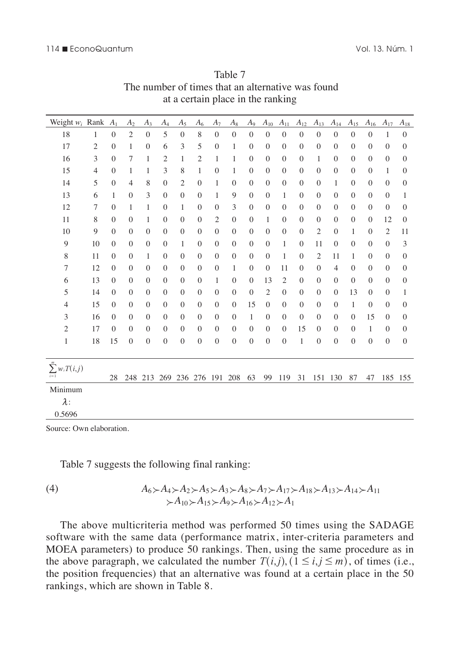| Weight $w_i$ Rank         |                | A <sub>1</sub> | A <sub>2</sub> | $A_3$            | $A_4$            | $A_5$          | $A_6$          | $A_7$            | $A_8$            | $A_9$          | $A_{10}$       | $A_{11}$         | $A_{12}$       | $A_{13}$       | $A_{14}$       | $A_{15}$         | $A_{16}$       | $A_{17}$       | $A_{18}$       |
|---------------------------|----------------|----------------|----------------|------------------|------------------|----------------|----------------|------------------|------------------|----------------|----------------|------------------|----------------|----------------|----------------|------------------|----------------|----------------|----------------|
| 18                        | 1              | $\theta$       | $\overline{2}$ | $\theta$         | 5                | $\theta$       | 8              | $\Omega$         | $\overline{0}$   | $\theta$       | $\Omega$       | $\theta$         | $\theta$       | $\Omega$       | $\Omega$       | $\theta$         | $\theta$       | 1              | $\theta$       |
| 17                        | $\overline{c}$ | $\theta$       | 1              | $\mathbf{0}$     | 6                | 3              | 5              | $\theta$         | 1                | $\theta$       | $\theta$       | $\theta$         | $\theta$       | $\theta$       | $\theta$       | $\theta$         | $\theta$       | $\theta$       | $\theta$       |
| 16                        | 3              | $\Omega$       | 7              | 1                | $\overline{2}$   | $\mathbf{1}$   | $\overline{c}$ | 1                | $\mathbf{1}$     | $\mathbf{0}$   | $\mathbf{0}$   | $\mathbf{0}$     | $\mathbf{0}$   | 1              | $\mathbf{0}$   | $\mathbf{0}$     | $\mathbf{0}$   | $\theta$       | $\mathbf{0}$   |
| 15                        | $\overline{4}$ | $\Omega$       | 1              | 1                | 3                | 8              | 1              | $\overline{0}$   | $\mathbf{1}$     | $\theta$       | $\theta$       | $\mathbf{0}$     | $\theta$       | $\theta$       | $\theta$       | $\mathbf{0}$     | $\theta$       | 1              | $\theta$       |
| 14                        | 5              | $\Omega$       | $\overline{4}$ | 8                | $\mathbf{0}$     | $\overline{c}$ | $\theta$       | $\mathbf{1}$     | $\mathbf{0}$     | $\theta$       | $\mathbf{0}$   | $\overline{0}$   | $\mathbf{0}$   | $\Omega$       | $\mathbf{1}$   | $\mathbf{0}$     | $\overline{0}$ | $\theta$       | $\mathbf{0}$   |
| 13                        | 6              | 1              | $\theta$       | 3                | $\mathbf{0}$     | $\theta$       | $\theta$       | $\mathbf{1}$     | 9                | $\theta$       | $\theta$       | $\mathbf{1}$     | $\theta$       | $\theta$       | $\theta$       | $\mathbf{0}$     | $\overline{0}$ | $\theta$       | 1              |
| 12                        | $\overline{7}$ | $\Omega$       | 1              | $\mathbf{1}$     | $\mathbf{0}$     | 1              | $\Omega$       | $\mathbf{0}$     | 3                | $\theta$       | $\mathbf{0}$   | $\overline{0}$   | $\mathbf{0}$   | $\Omega$       | $\mathbf{0}$   | $\mathbf{0}$     | $\overline{0}$ | $\theta$       | $\mathbf{0}$   |
| 11                        | 8              | $\Omega$       | $\theta$       | 1                | $\mathbf{0}$     | $\theta$       | $\theta$       | $\mathfrak{2}$   | $\mathbf{0}$     | $\theta$       | 1              | $\theta$         | $\mathbf{0}$   | $\Omega$       | $\theta$       | $\theta$         | $\theta$       | 12             | $\theta$       |
| 10                        | 9              | $\Omega$       | $\Omega$       | $\mathbf{0}$     | $\mathbf{0}$     | $\mathbf{0}$   | $\Omega$       | $\mathbf{0}$     | $\mathbf{0}$     | $\theta$       | $\mathbf{0}$   | $\mathbf{0}$     | $\overline{0}$ | $\overline{2}$ | $\mathbf{0}$   | $\mathbf{1}$     | $\overline{0}$ | $\overline{2}$ | 11             |
| 9                         | 10             | $\theta$       | $\Omega$       | $\mathbf{0}$     | $\mathbf{0}$     | 1              | $\theta$       | $\mathbf{0}$     | $\mathbf{0}$     | $\theta$       | $\mathbf{0}$   | $\mathbf{1}$     | $\overline{0}$ | 11             | $\theta$       | $\theta$         | $\theta$       | $\theta$       | 3              |
| $\,$ 8 $\,$               | 11             | $\mathbf{0}$   | $\mathbf{0}$   | $\mathbf{1}$     | $\mathbf{0}$     | $\mathbf{0}$   | $\mathbf{0}$   | $\mathbf{0}$     | $\mathbf{0}$     | $\overline{0}$ | $\mathbf{0}$   | $\mathbf{1}$     | $\mathbf{0}$   | $\overline{2}$ | 11             | $\mathbf{1}$     | $\overline{0}$ | $\theta$       | $\mathbf{0}$   |
| 7                         | 12             | $\theta$       | $\Omega$       | $\mathbf{0}$     | $\mathbf{0}$     | $\theta$       | $\theta$       | $\overline{0}$   | 1                | $\overline{0}$ | $\mathbf{0}$   | 11               | $\overline{0}$ | $\theta$       | $\overline{4}$ | $\overline{0}$   | $\mathbf{0}$   | $\theta$       | $\mathbf{0}$   |
| 6                         | 13             | $\overline{0}$ | $\mathbf{0}$   | $\mathbf{0}$     | $\overline{0}$   | $\mathbf{0}$   | $\mathbf{0}$   | $\mathbf{1}$     | $\mathbf{0}$     | $\overline{0}$ | 13             | $\overline{2}$   | $\overline{0}$ | $\theta$       | $\mathbf{0}$   | $\mathbf{0}$     | $\overline{0}$ | $\theta$       | $\mathbf{0}$   |
| 5                         | 14             | $\theta$       | $\theta$       | $\mathbf{0}$     | $\mathbf{0}$     | $\theta$       | $\theta$       | $\mathbf{0}$     | $\mathbf{0}$     | $\overline{0}$ | $\overline{2}$ | $\mathbf{0}$     | $\overline{0}$ | $\theta$       | $\mathbf{0}$   | 13               | $\overline{0}$ | $\theta$       | 1              |
| $\overline{4}$            | 15             | $\overline{0}$ | $\mathbf{0}$   | $\mathbf{0}$     | $\mathbf{0}$     | $\mathbf{0}$   | $\mathbf{0}$   | $\mathbf{0}$     | $\mathbf{0}$     | 15             | $\mathbf{0}$   | $\mathbf{0}$     | $\overline{0}$ | $\theta$       | $\mathbf{0}$   | $\mathbf{1}$     | $\overline{0}$ | $\Omega$       | $\overline{0}$ |
| 3                         | 16             | $\Omega$       | $\theta$       | $\overline{0}$   | $\mathbf{0}$     | $\theta$       | $\Omega$       | $\overline{0}$   | $\mathbf{0}$     | 1              | $\mathbf{0}$   | $\mathbf{0}$     | $\mathbf{0}$   | $\Omega$       | $\mathbf{0}$   | $\mathbf{0}$     | 15             | $\theta$       | $\overline{0}$ |
| $\mathfrak{2}$            | 17             | $\overline{0}$ | $\overline{0}$ | $\overline{0}$   | $\mathbf{0}$     | $\overline{0}$ | $\mathbf{0}$   | $\mathbf{0}$     | $\mathbf{0}$     | $\overline{0}$ | $\mathbf{0}$   | $\mathbf{0}$     | 15             | $\theta$       | $\mathbf{0}$   | $\mathbf{0}$     | 1              | $\mathbf{0}$   | $\overline{0}$ |
| 1                         | 18             | 15             | $\overline{0}$ | $\boldsymbol{0}$ | $\boldsymbol{0}$ | $\overline{0}$ | $\mathbf{0}$   | $\boldsymbol{0}$ | $\boldsymbol{0}$ | $\overline{0}$ | $\overline{0}$ | $\boldsymbol{0}$ | $\mathbf{1}$   | $\mathbf{0}$   | $\mathbf{0}$   | $\boldsymbol{0}$ | $\mathbf{0}$   | $\mathbf{0}$   | $\mathbf{0}$   |
|                           |                |                |                |                  |                  |                |                |                  |                  |                |                |                  |                |                |                |                  |                |                |                |
| $\sum_{i=1}^m w_i T(i,j)$ |                | 28             | 248            | 213              | 269              | 236            | 276            | 191              | 208              | 63             | 99             | 119              | 31             | 151            | 130            | 87               | 47             |                | 185 155        |
| Minimum                   |                |                |                |                  |                  |                |                |                  |                  |                |                |                  |                |                |                |                  |                |                |                |
| $\lambda$ :               |                |                |                |                  |                  |                |                |                  |                  |                |                |                  |                |                |                |                  |                |                |                |
| 0.5696                    |                |                |                |                  |                  |                |                |                  |                  |                |                |                  |                |                |                |                  |                |                |                |

Table 7 The number of times that an alternative was found at a certain place in the ranking

Table 7 suggests the following final ranking:

(4) 
$$
A_6 \succ A_4 \succ A_2 \succ A_5 \succ A_3 \succ A_8 \succ A_7 \succ A_{17} \succ A_{18} \succ A_{13} \succ A_{14} \succ A_{11} \succ A_{10} \succ A_{15} \succ A_9 \succ A_{16} \succ A_{12} \succ A_1
$$

The above multicriteria method was performed 50 times using the SADAGE software with the same data (performance matrix, inter-criteria parameters and MOEA parameters) to produce 50 rankings. Then, using the same procedure as in the above paragraph, we calculated the number  $T(i,j)$ ,  $(1 \le i, j \le m)$ , of times (i.e., the position frequencies) that an alternative was found at a certain place in the 50 rankings, which are shown in Table 8.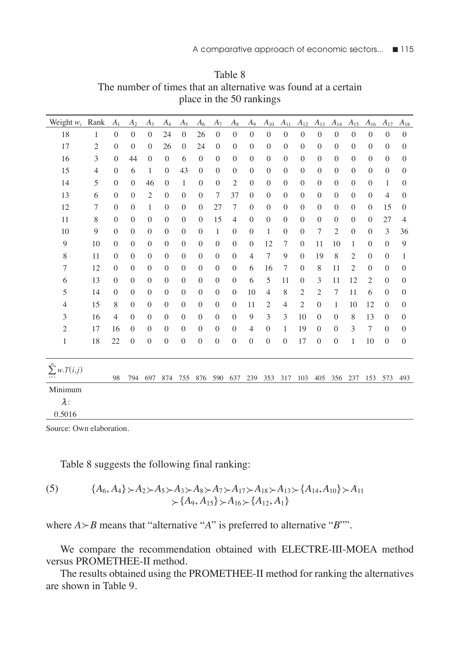| Weight $w_i$                     | Rank           | A <sub>1</sub>   | A <sub>2</sub> | $A_3$          | $A_4$            | $A_5$          | A <sub>6</sub> | $A_7$          | $A_8$            | $A_9$          | $A_{10}$       | $A_{11}$       | $A_{12}$         | $A_{13}$       | $A_{14}$       | $A_{15}$       | $A_{16}$       | $A_{17}$       | $A_{18}$       |
|----------------------------------|----------------|------------------|----------------|----------------|------------------|----------------|----------------|----------------|------------------|----------------|----------------|----------------|------------------|----------------|----------------|----------------|----------------|----------------|----------------|
| 18                               | 1              | $\overline{0}$   | $\theta$       | $\Omega$       | 24               | $\mathbf{0}$   | 26             | $\Omega$       | $\theta$         | $\mathbf{0}$   | $\Omega$       | $\Omega$       | $\theta$         | $\theta$       | $\Omega$       | $\theta$       | $\Omega$       | $\theta$       | $\mathbf{0}$   |
| 17                               | $\mathfrak{2}$ | $\overline{0}$   | $\theta$       | $\Omega$       | 26               | $\mathbf{0}$   | 24             | $\theta$       | $\theta$         | $\Omega$       | $\theta$       | $\theta$       | $\overline{0}$   | $\theta$       | $\Omega$       | $\theta$       | $\Omega$       | $\Omega$       | $\theta$       |
| 16                               | 3              | $\overline{0}$   | 44             | $\theta$       | $\mathbf{0}$     | 6              | $\theta$       | $\theta$       | $\theta$         | $\mathbf{0}$   | $\theta$       | $\mathbf{0}$   | $\mathbf{0}$     | $\theta$       | $\Omega$       | $\theta$       | $\overline{0}$ | $\Omega$       | $\theta$       |
| 15                               | 4              | $\mathbf{0}$     | 6              | 1              | $\mathbf{0}$     | 43             | $\theta$       | $\theta$       | $\theta$         | $\theta$       | $\theta$       | $\theta$       | $\mathbf{0}$     | $\theta$       | $\theta$       | $\theta$       | $\overline{0}$ | $\theta$       | $\mathbf{0}$   |
| 14                               | 5              | $\mathbf{0}$     | $\mathbf{0}$   | 46             | $\mathbf{0}$     | $\mathbf{1}$   | $\mathbf{0}$   | $\mathbf{0}$   | $\overline{2}$   | $\mathbf{0}$   | $\theta$       | $\mathbf{0}$   | $\mathbf{0}$     | $\overline{0}$ | $\mathbf{0}$   | $\mathbf{0}$   | $\overline{0}$ | 1              | $\mathbf{0}$   |
| 13                               | 6              | $\mathbf{0}$     | $\mathbf{0}$   | $\overline{2}$ | $\mathbf{0}$     | $\overline{0}$ | $\mathbf{0}$   | 7              | 37               | $\mathbf{0}$   | $\theta$       | $\mathbf{0}$   | $\mathbf{0}$     | $\overline{0}$ | $\mathbf{0}$   | $\mathbf{0}$   | $\overline{0}$ | $\overline{4}$ | $\mathbf{0}$   |
| 12                               | 7              | $\mathbf{0}$     | $\mathbf{0}$   | $\mathbf{1}$   | $\mathbf{0}$     | $\overline{0}$ | $\mathbf{0}$   | 27             | 7                | $\mathbf{0}$   | $\theta$       | $\mathbf{0}$   | $\mathbf{0}$     | $\overline{0}$ | $\mathbf{0}$   | $\mathbf{0}$   | $\overline{0}$ | 15             | $\mathbf{0}$   |
| 11                               | 8              | $\mathbf{0}$     | $\theta$       | $\overline{0}$ | $\mathbf{0}$     | $\mathbf{0}$   | $\theta$       | 15             | $\overline{4}$   | $\mathbf{0}$   | $\theta$       | $\mathbf{0}$   | $\mathbf{0}$     | $\overline{0}$ | $\mathbf{0}$   | $\overline{0}$ | $\mathbf{0}$   | 27             | $\overline{4}$ |
| 10                               | 9              | $\mathbf{0}$     | $\theta$       | $\theta$       | $\overline{0}$   | $\mathbf{0}$   | $\theta$       | $\mathbf{1}$   | $\mathbf{0}$     | $\mathbf{0}$   | 1              | $\mathbf{0}$   | $\overline{0}$   | 7              | $\overline{c}$ | $\overline{0}$ | $\mathbf{0}$   | 3              | 36             |
| 9                                | 10             | $\theta$         | $\theta$       | $\theta$       | $\overline{0}$   | $\mathbf{0}$   | $\theta$       | $\mathbf{0}$   | $\mathbf{0}$     | $\mathbf{0}$   | 12             | 7              | $\overline{0}$   | 11             | 10             | $\mathbf{1}$   | $\mathbf{0}$   | $\theta$       | 9              |
| 8                                | 11             | $\boldsymbol{0}$ | $\mathbf{0}$   | $\mathbf{0}$   | $\overline{0}$   | $\mathbf{0}$   | $\overline{0}$ | $\mathbf{0}$   | $\mathbf{0}$     | $\overline{4}$ | 7              | 9              | $\overline{0}$   | 19             | 8              | $\overline{2}$ | $\mathbf{0}$   | $\overline{0}$ | 1              |
| 7                                | 12             | $\boldsymbol{0}$ | $\mathbf{0}$   | $\overline{0}$ | $\mathbf{0}$     | $\mathbf{0}$   | $\Omega$       | $\mathbf{0}$   | $\overline{0}$   | 6              | 16             | 7              | $\mathbf{0}$     | 8              | 11             | $\overline{2}$ | $\mathbf{0}$   | $\Omega$       | $\mathbf{0}$   |
| 6                                | 13             | $\mathbf{0}$     | $\mathbf{0}$   | $\theta$       | $\boldsymbol{0}$ | $\mathbf{0}$   | $\Omega$       | $\mathbf{0}$   | $\boldsymbol{0}$ | 6              | 5              | 11             | $\boldsymbol{0}$ | 3              | 11             | 12             | $\mathfrak{2}$ | $\Omega$       | $\mathbf{0}$   |
| 5                                | 14             | $\mathbf{0}$     | $\theta$       | $\theta$       | $\mathbf{0}$     | $\mathbf{0}$   | $\theta$       | $\mathbf{0}$   | $\overline{0}$   | 10             | $\overline{4}$ | 8              | 2                | $\mathfrak{2}$ | 7              | 11             | 6              | $\theta$       | $\mathbf{0}$   |
| $\overline{4}$                   | 15             | 8                | $\theta$       | $\theta$       | $\mathbf{0}$     | $\mathbf{0}$   | $\theta$       | $\mathbf{0}$   | $\overline{0}$   | 11             | $\overline{c}$ | $\overline{4}$ | $\mathfrak{2}$   | $\mathbf{0}$   | 1              | 10             | 12             | $\Omega$       | $\mathbf{0}$   |
| 3                                | 16             | $\overline{4}$   | $\mathbf{0}$   | $\mathbf{0}$   | $\mathbf{0}$     | $\mathbf{0}$   | $\theta$       | $\mathbf{0}$   | $\overline{0}$   | 9              | 3              | 3              | 10               | $\theta$       | $\mathbf{0}$   | 8              | 13             | $\mathbf{0}$   | $\mathbf{0}$   |
| $\sqrt{2}$                       | 17             | 16               | $\overline{0}$ | $\mathbf{0}$   | $\mathbf{0}$     | $\mathbf{0}$   | $\theta$       | $\mathbf{0}$   | $\overline{0}$   | $\overline{4}$ | $\overline{0}$ | $\mathbf{1}$   | 19               | $\Omega$       | $\mathbf{0}$   | 3              | 7              | $\theta$       | $\overline{0}$ |
| 1                                | 18             | 22               | $\overline{0}$ | $\overline{0}$ | $\overline{0}$   | $\overline{0}$ | $\overline{0}$ | $\overline{0}$ | $\overline{0}$   | $\mathbf{0}$   | $\overline{0}$ | $\overline{0}$ | 17               | $\overline{0}$ | $\overline{0}$ | 1              | 10             | $\mathbf{0}$   | $\overline{0}$ |
| $\sum_{i=1}^m w_i T(i,j)$        |                | 98               | 794            | 697            | 874              | 755            | 876            | 590            | 637              | 239            | 353            | 317            | 103              | 405            | 356            | 237            | 153            | 573            | 493            |
| Minimum<br>$\lambda$ :<br>0.5016 |                |                  |                |                |                  |                |                |                |                  |                |                |                |                  |                |                |                |                |                |                |

Table 8 The number of times that an alternative was found at a certain place in the 50 rankings

Table 8 suggests the following final ranking:

(5) 
$$
{A_6, A_4} > A_2 > A_5 > A_3 > A_8 > A_7 > A_{17} > A_{18} > A_{13} > {A_{14}, A_{10}} > A_{11} > {A_9, A_{15}} > A_{16} > {A_{12}, A_1}
$$

where  $A \rightarrow B$  means that "alternative "*A*" is preferred to alternative "*B*"".

We compare the recommendation obtained with ELECTRE-III-MOEA method versus PROMETHEE-II method.

The results obtained using the PROMETHEE-II method for ranking the alternatives are shown in Table 9.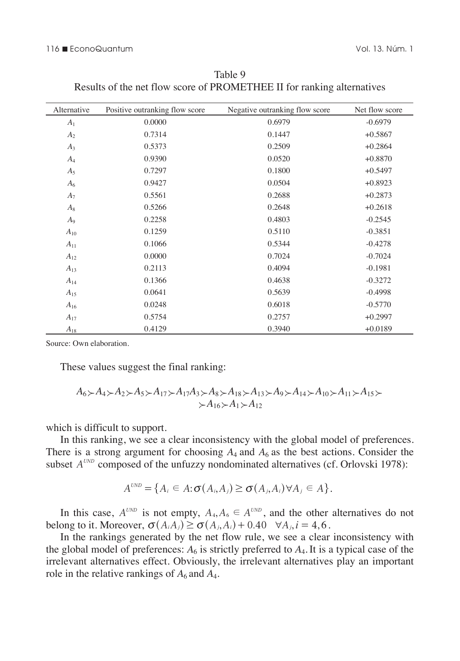#### 116 n EconoQuantum Vol. 13. Núm. 1

| Alternative    | Positive outranking flow score | Negative outranking flow score | Net flow score |
|----------------|--------------------------------|--------------------------------|----------------|
| A <sub>1</sub> | 0.0000                         | 0.6979                         | $-0.6979$      |
| A <sub>2</sub> | 0.7314                         | 0.1447                         | $+0.5867$      |
| $A_3$          | 0.5373                         | 0.2509                         | $+0.2864$      |
| $A_4$          | 0.9390                         | 0.0520                         | $+0.8870$      |
| $A_5$          | 0.7297                         | 0.1800                         | $+0.5497$      |
| $A_6$          | 0.9427                         | 0.0504                         | $+0.8923$      |
| $A_7$          | 0.5561                         | 0.2688                         | $+0.2873$      |
| $A_8$          | 0.5266                         | 0.2648                         | $+0.2618$      |
| $A_9$          | 0.2258                         | 0.4803                         | $-0.2545$      |
| $A_{10}$       | 0.1259                         | 0.5110                         | $-0.3851$      |
| $A_{11}$       | 0.1066                         | 0.5344                         | $-0.4278$      |
| $A_{12}$       | 0.0000                         | 0.7024                         | $-0.7024$      |
| $A_{13}$       | 0.2113                         | 0.4094                         | $-0.1981$      |
| $A_{14}$       | 0.1366                         | 0.4638                         | $-0.3272$      |
| $A_{15}$       | 0.0641                         | 0.5639                         | $-0.4998$      |
| $A_{16}$       | 0.0248                         | 0.6018                         | $-0.5770$      |
| $A_{17}$       | 0.5754                         | 0.2757                         | $+0.2997$      |
| $A_{18}$       | 0.4129                         | 0.3940                         | $+0.0189$      |

Table 9 Results of the net flow score of PROMETHEE II for ranking alternatives

Source: Own elaboration.

These values suggest the final ranking:

$$
A_6 \succ A_4 \succ A_2 \succ A_5 \succ A_{17} \succ A_{17}A_3 \succ A_8 \succ A_{18} \succ A_{13} \succ A_9 \succ A_{14} \succ A_{10} \succ A_{11} \succ A_{15} \succ A_{16} \succ A_{17} \succ A_{18} \succ A_{19} \succ A_{11} \succ A_{12}
$$

which is difficult to support.

In this ranking, we see a clear inconsistency with the global model of preferences. There is a strong argument for choosing  $A_4$  and  $A_6$  as the best actions. Consider the subset  $A^{UND}$  composed of the unfuzzy nondominated alternatives (cf. Orlovski 1978):

$$
A^{\text{UND}} = \{A_i \in A : \sigma(A_i, A_j) \geq \sigma(A_j, A_i) \forall A_j \in A\}.
$$

In this case,  $A^{UND}$  is not empty,  $A_4, A_6 \in A^{UND}$ , and the other alternatives do not belong to it. Moreover,  $\sigma(A_iA_j) \geq \sigma(A_j,A_i) + 0.40 \quad \forall A_j, i = 4,6$ .

In the rankings generated by the net flow rule, we see a clear inconsistency with the global model of preferences:  $A_6$  is strictly preferred to  $A_4$ . It is a typical case of the irrelevant alternatives effect. Obviously, the irrelevant alternatives play an important role in the relative rankings of  $A_6$  and  $A_4$ .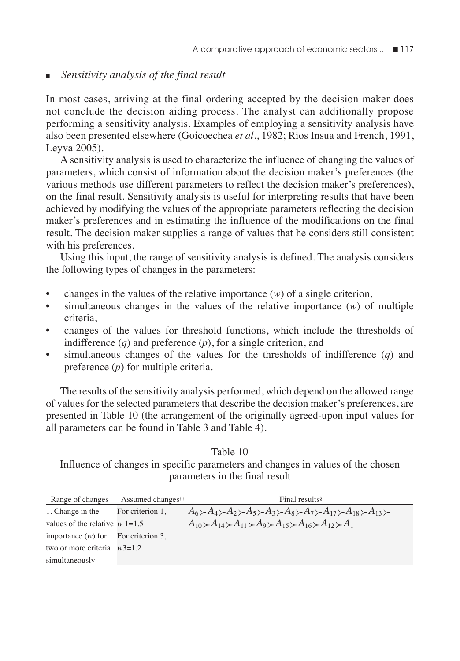# <sup>n</sup>*Sensitivity analysis of the final result*

In most cases, arriving at the final ordering accepted by the decision maker does not conclude the decision aiding process. The analyst can additionally propose performing a sensitivity analysis. Examples of employing a sensitivity analysis have also been presented elsewhere (Goicoechea *et al*., 1982; Rios Insua and French, 1991, Leyva 2005).

A sensitivity analysis is used to characterize the influence of changing the values of parameters, which consist of information about the decision maker's preferences (the various methods use different parameters to reflect the decision maker's preferences), on the final result. Sensitivity analysis is useful for interpreting results that have been achieved by modifying the values of the appropriate parameters reflecting the decision maker's preferences and in estimating the influence of the modifications on the final result. The decision maker supplies a range of values that he considers still consistent with his preferences.

Using this input, the range of sensitivity analysis is defined. The analysis considers the following types of changes in the parameters:

- changes in the values of the relative importance (*w*) of a single criterion,
- simultaneous changes in the values of the relative importance (*w*) of multiple criteria,
- changes of the values for threshold functions, which include the thresholds of indifference (*q*) and preference (*p*), for a single criterion, and
- simultaneous changes of the values for the thresholds of indifference (*q*) and preference (*p*) for multiple criteria.

The results of the sensitivity analysis performed, which depend on the allowed range of values for the selected parameters that describe the decision maker's preferences, are presented in Table 10 (the arrangement of the originally agreed-upon input values for all parameters can be found in Table 3 and Table 4).

Table 10 Influence of changes in specific parameters and changes in values of the chosen parameters in the final result

|                                       | Range of changes <sup>†</sup> Assumed changes <sup>††</sup> | Final results <sup>§</sup>                                                                                                                                                 |
|---------------------------------------|-------------------------------------------------------------|----------------------------------------------------------------------------------------------------------------------------------------------------------------------------|
| 1. Change in the For criterion 1,     |                                                             | $A_6 \rightarrow A_4 \rightarrow A_2 \rightarrow A_5 \rightarrow A_3 \rightarrow A_8 \rightarrow A_7 \rightarrow A_{17} \rightarrow A_{18} \rightarrow A_{13} \rightarrow$ |
| values of the relative $w = 1.5$      |                                                             | $A_{10} > A_{14} > A_{11} > A_9 > A_{15} > A_{16} > A_{12} > A_1$                                                                                                          |
| importance $(w)$ for For criterion 3, |                                                             |                                                                                                                                                                            |
| two or more criteria $w3=1.2$         |                                                             |                                                                                                                                                                            |
| simultaneously                        |                                                             |                                                                                                                                                                            |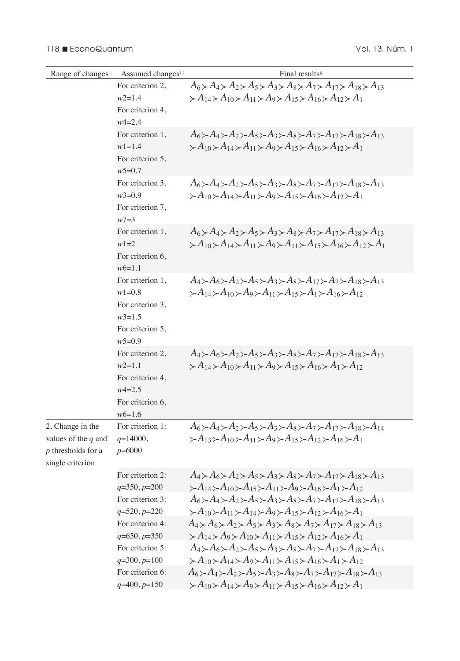| Range of changes <sup>†</sup>                                                       | Assumed changes <sup>††</sup>                                                                  | Final results <sup>§</sup>                                                                                                                                                                                                                                                 |
|-------------------------------------------------------------------------------------|------------------------------------------------------------------------------------------------|----------------------------------------------------------------------------------------------------------------------------------------------------------------------------------------------------------------------------------------------------------------------------|
|                                                                                     | For criterion 2,<br>$w2=1.4$<br>For criterion 4,                                               | $A_6 \succ A_4 \succ A_2 \succ A_5 \succ A_3 \succ A_8 \succ A_7 \succ A_{17} \succ A_{18} \succ A_{13}$<br>$\succ A_{14} \succ A_{10} \succ A_{11} \succ A_{9} \succ A_{15} \succ A_{16} \succ A_{12} \succ A_{11}$                                                       |
|                                                                                     | $w4 = 2.4$                                                                                     |                                                                                                                                                                                                                                                                            |
|                                                                                     | For criterion 1,<br>$w1 = 1.4$<br>For criterion 5,<br>$w5=0.7$                                 | $A_6 \rightarrow A_4 \rightarrow A_2 \rightarrow A_3 \rightarrow A_3 \rightarrow A_7 \rightarrow A_{17} \rightarrow A_{18} \rightarrow A_{13}$<br>$\succ A_{10} \succ A_{14} \succ A_{11} \succ A_{9} \succ A_{15} \succ A_{16} \succ A_{12} \succ A_{11}$                 |
|                                                                                     | For criterion 3,<br>$w3=0.9$<br>For criterion 7,<br>$w7 = 3$                                   | $A_6 \rightarrow A_4 \rightarrow A_2 \rightarrow A_5 \rightarrow A_3 \rightarrow A_8 \rightarrow A_{17} \rightarrow A_{18} \rightarrow A_{13}$<br>$\succ A_{10} \succ A_{14} \succ A_{11} \succ A_{9} \succ A_{15} \succ A_{16} \succ A_{12} \succ A_{11}$                 |
|                                                                                     | For criterion 1,<br>$w1 = 2$<br>For criterion 6,<br>$w6=1.1$                                   | $A_6 \rightarrow A_4 \rightarrow A_2 \rightarrow A_5 \rightarrow A_3 \rightarrow A_8 \rightarrow A_{17} \rightarrow A_{18} \rightarrow A_{13}$<br>$\succ A_{10} \succ A_{14} \succ A_{11} \succ A_{9} \succ A_{11} \succ A_{15} \succ A_{16} \succ A_{12} \succ A_{11}$    |
|                                                                                     | For criterion 1,<br>$w1=0.8$<br>For criterion 3,<br>$w3=1.5$<br>For criterion 5,<br>$w5=0.9$   | $A_4 \rightarrow A_6 \rightarrow A_2 \rightarrow A_5 \rightarrow A_3 \rightarrow A_8 \rightarrow A_{17} \rightarrow A_7 \rightarrow A_{18} \rightarrow A_{13}$<br>$\succ A_{14} \succ A_{10} \succ A_{9} \succ A_{11} \succ A_{15} \succ A_{1} \succ A_{16} \succ A_{12}$  |
|                                                                                     | For criterion 2,<br>$w2=1.1$<br>For criterion 4,<br>$w4 = 2.5$<br>For criterion 6,<br>$w6=1.6$ | $A_4 \rightarrow A_6 \rightarrow A_2 \rightarrow A_3 \rightarrow A_8 \rightarrow A_7 \rightarrow A_{17} \rightarrow A_{18} \rightarrow A_{13}$<br>$\succ A_{14} \succ A_{10} \succ A_{11} \succ A_{9} \succ A_{15} \succ A_{16} \succ A_{1} \succ A_{12}$                  |
| 2. Change in the<br>values of the $q$ and<br>p thresholds for a<br>single criterion | For criterion 1:<br>$q=14000,$<br>$p=6000$                                                     | $A_6 \rightarrow A_4 \rightarrow A_2 \rightarrow A_5 \rightarrow A_3 \rightarrow A_8 \rightarrow A_{17} \rightarrow A_{18} \rightarrow A_{14}$<br>$\succ A_{13} \succ A_{10} \succ A_{11} \succ A_{9} \succ A_{15} \succ A_{12} \succ A_{16} \succ A_{11}$                 |
|                                                                                     | For criterion 2:<br>$q=350, p=200$                                                             | $A_4 \rightarrow A_6 \rightarrow A_2 \rightarrow A_5 \rightarrow A_3 \rightarrow A_8 \rightarrow A_{17} \rightarrow A_{18} \rightarrow A_{13}$<br>$\succ A_{14} \succ A_{10} \succ A_{15} \succ A_{11} \succ A_{9} \succ A_{16} \succ A_{1} \succ A_{12}$                  |
|                                                                                     | For criterion 3:<br>$q=520, p=220$                                                             | $A_6 \rightarrow A_4 \rightarrow A_2 \rightarrow A_5 \rightarrow A_3 \rightarrow A_8 \rightarrow A_7 \rightarrow A_{17} \rightarrow A_{18} \rightarrow A_{13}$<br>$\succ A_{10} \succ A_{11} \succ A_{14} \succ A_{9} \succ A_{15} \succ A_{12} \succ A_{16} \succ A_{11}$ |
|                                                                                     | For criterion 4:<br>$q=650, p=350$                                                             | $A_4 \rightarrow A_6 \rightarrow A_2 \rightarrow A_5 \rightarrow A_3 \rightarrow A_8 \rightarrow A_{17} \rightarrow A_{18} \rightarrow A_{13}$<br>$\succ A_{14} \succ A_9 \succ A_{10} \succ A_{11} \succ A_{15} \succ A_{12} \succ A_{16} \succ A_1$                      |
|                                                                                     | For criterion 5:<br>$q=300, p=100$                                                             | $A_4 \rightarrow A_6 \rightarrow A_2 \rightarrow A_5 \rightarrow A_3 \rightarrow A_8 \rightarrow A_7 \rightarrow A_{17} \rightarrow A_{18} \rightarrow A_{13}$<br>$\succ A_{10} \succ A_{14} \succ A_{9} \succ A_{11} \succ A_{15} \succ A_{16} \succ A_{1} \succ A_{12}$  |
|                                                                                     | For criterion 6:<br>$q=400, p=150$                                                             | $A_6 \rightarrow A_4 \rightarrow A_2 \rightarrow A_5 \rightarrow A_3 \rightarrow A_8 \rightarrow A_7 \rightarrow A_{17} \rightarrow A_{18} \rightarrow A_{13}$<br>$\succ A_{10} \succ A_{14} \succ A_{9} \succ A_{11} \succ A_{15} \succ A_{16} \succ A_{12} \succ A_{11}$ |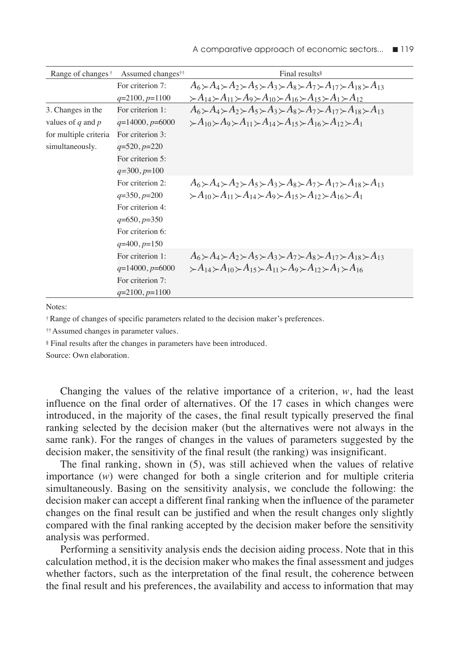| Range of changes <sup>†</sup> | Assumed changes <sup>††</sup> | Final results <sup>§</sup>                                                                                                                                     |
|-------------------------------|-------------------------------|----------------------------------------------------------------------------------------------------------------------------------------------------------------|
|                               | For criterion 7:              | $A_6 \rightarrow A_4 \rightarrow A_2 \rightarrow A_5 \rightarrow A_3 \rightarrow A_8 \rightarrow A_7 \rightarrow A_{17} \rightarrow A_{18} \rightarrow A_{13}$ |
|                               | $q=2100, p=1100$              | $\succ A_{14} \succ A_{11} \succ A_9 \succ A_{10} \succ A_{16} \succ A_{15} \succ A_1 \succ A_{12}$                                                            |
| 3. Changes in the             | For criterion 1:              | $A_6 \rightarrow A_4 \rightarrow A_2 \rightarrow A_5 \rightarrow A_3 \rightarrow A_8 \rightarrow A_7 \rightarrow A_{17} \rightarrow A_{18} \rightarrow A_{13}$ |
| values of $q$ and $p$         | $q=14000, p=6000$             | $\succ A_{10} \succ A_9 \succ A_{11} \succ A_{14} \succ A_{15} \succ A_{16} \succ A_{12} \succ A_1$                                                            |
| for multiple criteria         | For criterion 3:              |                                                                                                                                                                |
| simultaneously.               | $q=520, p=220$                |                                                                                                                                                                |
|                               | For criterion 5:              |                                                                                                                                                                |
|                               | $q=300, p=100$                |                                                                                                                                                                |
|                               | For criterion 2:              | $A_6 \rightarrow A_4 \rightarrow A_2 \rightarrow A_5 \rightarrow A_3 \rightarrow A_8 \rightarrow A_7 \rightarrow A_{17} \rightarrow A_{18} \rightarrow A_{13}$ |
|                               | $q=350, p=200$                | $\succ A_{10} \succ A_{11} \succ A_{14} \succ A_{9} \succ A_{15} \succ A_{12} \succ A_{16} \succ A_{11}$                                                       |
|                               | For criterion 4:              |                                                                                                                                                                |
|                               | $q=650, p=350$                |                                                                                                                                                                |
|                               | For criterion 6:              |                                                                                                                                                                |
|                               | $q=400, p=150$                |                                                                                                                                                                |
|                               | For criterion 1:              | $A_6 \rightarrow A_4 \rightarrow A_2 \rightarrow A_5 \rightarrow A_3 \rightarrow A_7 \rightarrow A_8 \rightarrow A_{17} \rightarrow A_{18} \rightarrow A_{13}$ |
|                               | $q=14000, p=6000$             | $\geq A_{14} \geq A_{10} \geq A_{15} \geq A_{11} \geq A_{9} \geq A_{12} \geq A_{1} \geq A_{16}$                                                                |
|                               | For criterion 7:              |                                                                                                                                                                |
|                               | $q=2100, p=1100$              |                                                                                                                                                                |

Notes:

† Range of changes of specific parameters related to the decision maker's preferences.

†† Assumed changes in parameter values.

§ Final results after the changes in parameters have been introduced.

Source: Own elaboration.

Changing the values of the relative importance of a criterion, *w*, had the least influence on the final order of alternatives. Of the 17 cases in which changes were introduced, in the majority of the cases, the final result typically preserved the final ranking selected by the decision maker (but the alternatives were not always in the same rank). For the ranges of changes in the values of parameters suggested by the decision maker, the sensitivity of the final result (the ranking) was insignificant.

The final ranking, shown in (5), was still achieved when the values of relative importance (*w*) were changed for both a single criterion and for multiple criteria simultaneously. Basing on the sensitivity analysis, we conclude the following: the decision maker can accept a different final ranking when the influence of the parameter changes on the final result can be justified and when the result changes only slightly compared with the final ranking accepted by the decision maker before the sensitivity analysis was performed.

Performing a sensitivity analysis ends the decision aiding process. Note that in this calculation method, it is the decision maker who makes the final assessment and judges whether factors, such as the interpretation of the final result, the coherence between the final result and his preferences, the availability and access to information that may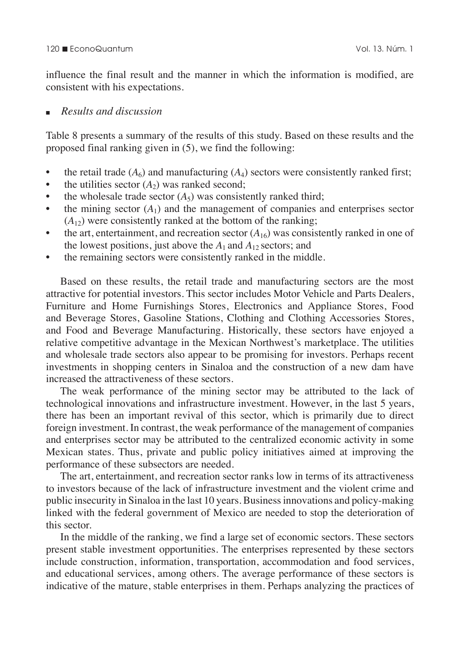influence the final result and the manner in which the information is modified, are consistent with his expectations.

# <sup>n</sup>*Results and discussion*

Table 8 presents a summary of the results of this study. Based on these results and the proposed final ranking given in (5), we find the following:

- the retail trade  $(A<sub>6</sub>)$  and manufacturing  $(A<sub>4</sub>)$  sectors were consistently ranked first;
- the utilities sector  $(A_2)$  was ranked second;
- the wholesale trade sector  $(A_5)$  was consistently ranked third;
- $\bullet$  the mining sector  $(A_1)$  and the management of companies and enterprises sector  $(A_{12})$  were consistently ranked at the bottom of the ranking;
- the art, entertainment, and recreation sector  $(A_{16})$  was consistently ranked in one of the lowest positions, just above the  $A_1$  and  $A_{12}$  sectors; and
- the remaining sectors were consistently ranked in the middle.

Based on these results, the retail trade and manufacturing sectors are the most attractive for potential investors. This sector includes Motor Vehicle and Parts Dealers, Furniture and Home Furnishings Stores, Electronics and Appliance Stores, Food and Beverage Stores, Gasoline Stations, Clothing and Clothing Accessories Stores, and Food and Beverage Manufacturing. Historically, these sectors have enjoyed a relative competitive advantage in the Mexican Northwest's marketplace. The utilities and wholesale trade sectors also appear to be promising for investors. Perhaps recent investments in shopping centers in Sinaloa and the construction of a new dam have increased the attractiveness of these sectors.

The weak performance of the mining sector may be attributed to the lack of technological innovations and infrastructure investment. However, in the last 5 years, there has been an important revival of this sector, which is primarily due to direct foreign investment. In contrast, the weak performance of the management of companies and enterprises sector may be attributed to the centralized economic activity in some Mexican states. Thus, private and public policy initiatives aimed at improving the performance of these subsectors are needed.

The art, entertainment, and recreation sector ranks low in terms of its attractiveness to investors because of the lack of infrastructure investment and the violent crime and public insecurity in Sinaloa in the last 10 years. Business innovations and policy-making linked with the federal government of Mexico are needed to stop the deterioration of this sector.

In the middle of the ranking, we find a large set of economic sectors. These sectors present stable investment opportunities. The enterprises represented by these sectors include construction, information, transportation, accommodation and food services, and educational services, among others. The average performance of these sectors is indicative of the mature, stable enterprises in them. Perhaps analyzing the practices of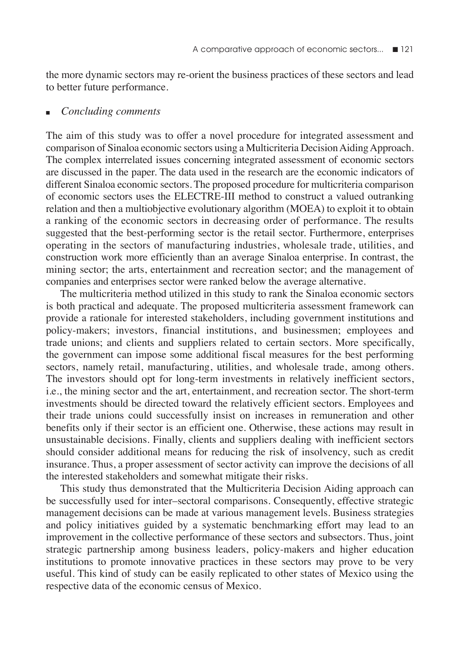the more dynamic sectors may re-orient the business practices of these sectors and lead to better future performance.

#### <sup>n</sup>*Concluding comments*

The aim of this study was to offer a novel procedure for integrated assessment and comparison of Sinaloa economic sectors using a Multicriteria Decision Aiding Approach. The complex interrelated issues concerning integrated assessment of economic sectors are discussed in the paper. The data used in the research are the economic indicators of different Sinaloa economic sectors. The proposed procedure for multicriteria comparison of economic sectors uses the ELECTRE-III method to construct a valued outranking relation and then a multiobjective evolutionary algorithm (MOEA) to exploit it to obtain a ranking of the economic sectors in decreasing order of performance. The results suggested that the best-performing sector is the retail sector. Furthermore, enterprises operating in the sectors of manufacturing industries, wholesale trade, utilities, and construction work more efficiently than an average Sinaloa enterprise. In contrast, the mining sector; the arts, entertainment and recreation sector; and the management of companies and enterprises sector were ranked below the average alternative.

The multicriteria method utilized in this study to rank the Sinaloa economic sectors is both practical and adequate. The proposed multicriteria assessment framework can provide a rationale for interested stakeholders, including government institutions and policy-makers; investors, financial institutions, and businessmen; employees and trade unions; and clients and suppliers related to certain sectors. More specifically, the government can impose some additional fiscal measures for the best performing sectors, namely retail, manufacturing, utilities, and wholesale trade, among others. The investors should opt for long-term investments in relatively inefficient sectors, i.e., the mining sector and the art, entertainment, and recreation sector. The short-term investments should be directed toward the relatively efficient sectors. Employees and their trade unions could successfully insist on increases in remuneration and other benefits only if their sector is an efficient one. Otherwise, these actions may result in unsustainable decisions. Finally, clients and suppliers dealing with inefficient sectors should consider additional means for reducing the risk of insolvency, such as credit insurance. Thus, a proper assessment of sector activity can improve the decisions of all the interested stakeholders and somewhat mitigate their risks.

This study thus demonstrated that the Multicriteria Decision Aiding approach can be successfully used for inter–sectoral comparisons. Consequently, effective strategic management decisions can be made at various management levels. Business strategies and policy initiatives guided by a systematic benchmarking effort may lead to an improvement in the collective performance of these sectors and subsectors. Thus, joint strategic partnership among business leaders, policy-makers and higher education institutions to promote innovative practices in these sectors may prove to be very useful. This kind of study can be easily replicated to other states of Mexico using the respective data of the economic census of Mexico.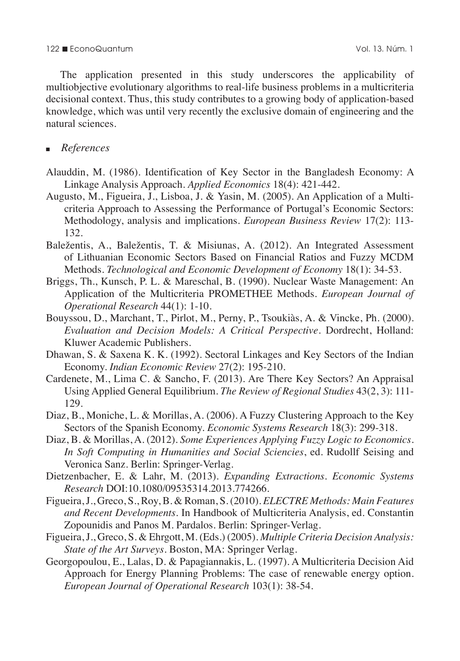The application presented in this study underscores the applicability of multiobjective evolutionary algorithms to real-life business problems in a multicriteria decisional context. Thus, this study contributes to a growing body of application-based knowledge, which was until very recently the exclusive domain of engineering and the natural sciences.

# <sup>n</sup>*References*

- Alauddin, M. (1986). Identification of Key Sector in the Bangladesh Economy: A Linkage Analysis Approach. *Applied Economics* 18(4): 421-442.
- Augusto, M., Figueira, J., Lisboa, J. & Yasin, M. (2005). An Application of a Multicriteria Approach to Assessing the Performance of Portugal's Economic Sectors: Methodology, analysis and implications. *European Business Review* 17(2): 113- 132.
- Baležentis, A., Baležentis, T. & Misiunas, A. (2012). An Integrated Assessment of Lithuanian Economic Sectors Based on Financial Ratios and Fuzzy MCDM Methods. *Technological and Economic Development of Economy* 18(1): 34-53.
- Briggs, Th., Kunsch, P. L. & Mareschal, B. (1990). Nuclear Waste Management: An Application of the Multicriteria PROMETHEE Methods. *European Journal of Operational Research* 44(1): 1-10.
- Bouyssou, D., Marchant, T., Pirlot, M., Perny, P., Tsoukiàs, A. & Vincke, Ph. (2000). *Evaluation and Decision Models: A Critical Perspective*. Dordrecht, Holland: Kluwer Academic Publishers.
- Dhawan, S. & Saxena K. K. (1992). Sectoral Linkages and Key Sectors of the Indian Economy. *Indian Economic Review* 27(2): 195-210.
- Cardenete, M., Lima C. & Sancho, F. (2013). Are There Key Sectors? An Appraisal Using Applied General Equilibrium. *The Review of Regional Studies* 43(2, 3): 111- 129.
- Diaz, B., Moniche, L. & Morillas, A. (2006). A Fuzzy Clustering Approach to the Key Sectors of the Spanish Economy. *Economic Systems Research* 18(3): 299-318.
- Diaz, B. & Morillas, A. (2012). *Some Experiences Applying Fuzzy Logic to Economics. In Soft Computing in Humanities and Social Sciencies*, ed. Rudollf Seising and Veronica Sanz. Berlin: Springer-Verlag.
- Dietzenbacher, E. & Lahr, M. (2013). *Expanding Extractions. Economic Systems Research* DOI:10.1080/09535314.2013.774266.
- Figueira, J., Greco, S., Roy, B. & Roman, S. (2010). *ELECTRE Methods: Main Features and Recent Developments*. In Handbook of Multicriteria Analysis, ed. Constantin Zopounidis and Panos M. Pardalos. Berlin: Springer-Verlag.
- Figueira, J., Greco, S. & Ehrgott, M. (Eds.) (2005). *Multiple Criteria Decision Analysis: State of the Art Surveys*. Boston, MA: Springer Verlag.
- Georgopoulou, E., Lalas, D. & Papagiannakis, L. (1997). A Multicriteria Decision Aid Approach for Energy Planning Problems: The case of renewable energy option. *European Journal of Operational Research* 103(1): 38-54.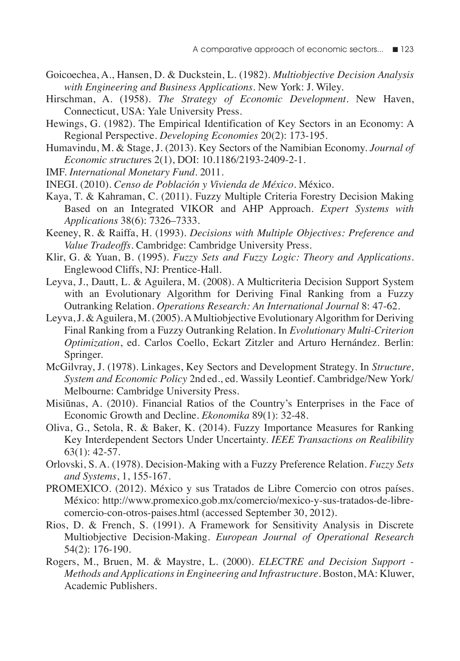- Goicoechea, A., Hansen, D. & Duckstein, L. (1982). *Multiobjective Decision Analysis with Engineering and Business Applications*. New York: J. Wiley.
- Hirschman, A. (1958). *The Strategy of Economic Development*. New Haven, Connecticut, USA: Yale University Press.
- Hewings, G. (1982). The Empirical Identification of Key Sectors in an Economy: A Regional Perspective. *Developing Economies* 20(2): 173-195.
- Humavindu, M. & Stage, J. (2013). Key Sectors of the Namibian Economy. *Journal of Economic structure*s 2(1), DOI: 10.1186/2193-2409-2-1.
- IMF. *International Monetary Fund*. 2011.
- INEGI. (2010). *Censo de Población y Vivienda de México*. México.
- Kaya, T. & Kahraman, C. (2011). Fuzzy Multiple Criteria Forestry Decision Making Based on an Integrated VIKOR and AHP Approach. *Expert Systems with Applications* 38(6): 7326–7333.
- Keeney, R. & Raiffa, H. (1993). *Decisions with Multiple Objectives: Preference and Value Tradeoffs*. Cambridge: Cambridge University Press.
- Klir, G. & Yuan, B. (1995). *Fuzzy Sets and Fuzzy Logic: Theory and Applications*. Englewood Cliffs, NJ: Prentice-Hall.
- Leyva, J., Dautt, L. & Aguilera, M. (2008). A Multicriteria Decision Support System with an Evolutionary Algorithm for Deriving Final Ranking from a Fuzzy Outranking Relation. *Operations Research: An International Journal* 8: 47-62.
- Leyva, J. & Aguilera, M. (2005). A Multiobjective Evolutionary Algorithm for Deriving Final Ranking from a Fuzzy Outranking Relation. In *Evolutionary Multi-Criterion Optimization*, ed. Carlos Coello, Eckart Zitzler and Arturo Hernández. Berlin: Springer.
- McGilvray, J. (1978). Linkages, Key Sectors and Development Strategy. In *Structure, System and Economic Policy* 2nd ed., ed. Wassily Leontief. Cambridge/New York/ Melbourne: Cambridge University Press.
- Misiūnas, A. (2010). Financial Ratios of the Country's Enterprises in the Face of Economic Growth and Decline. *Ekonomika* 89(1): 32-48.
- Oliva, G., Setola, R. & Baker, K. (2014). Fuzzy Importance Measures for Ranking Key Interdependent Sectors Under Uncertainty. *IEEE Transactions on Realibility* 63(1): 42-57.
- Orlovski, S. A. (1978). Decision-Making with a Fuzzy Preference Relation. *Fuzzy Sets and Systems*, 1, 155-167.
- PROMEXICO. (2012). México y sus Tratados de Libre Comercio con otros países. México: http://www.promexico.gob.mx/comercio/mexico-y-sus-tratados-de-librecomercio-con-otros-paises.html (accessed September 30, 2012).
- Rios, D. & French, S. (1991). A Framework for Sensitivity Analysis in Discrete Multiobjective Decision-Making. *European Journal of Operational Research* 54(2): 176-190.
- Rogers, M., Bruen, M. & Maystre, L. (2000). *ELECTRE and Decision Support Methods and Applications in Engineering and Infrastructure*. Boston, MA: Kluwer, Academic Publishers.